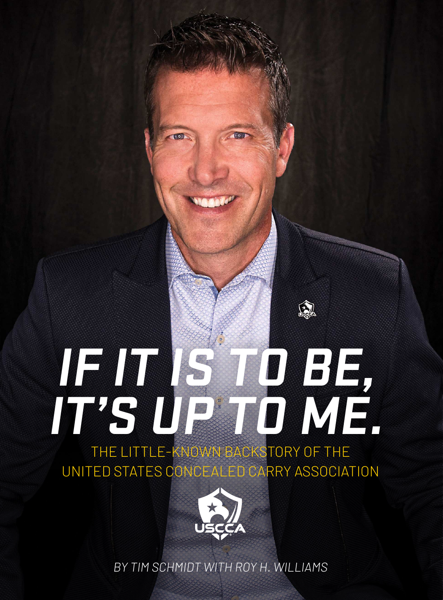# **IF IT IS TO BE, IT'S UP TO ME.**

金

THE LITTLE-KNOWN BACKSTORY OF THE UNITED STATES CONCEALED CARRY ASSOCIATION



BY TIM SCHMIDT WITH ROY H. WILLIAMS 1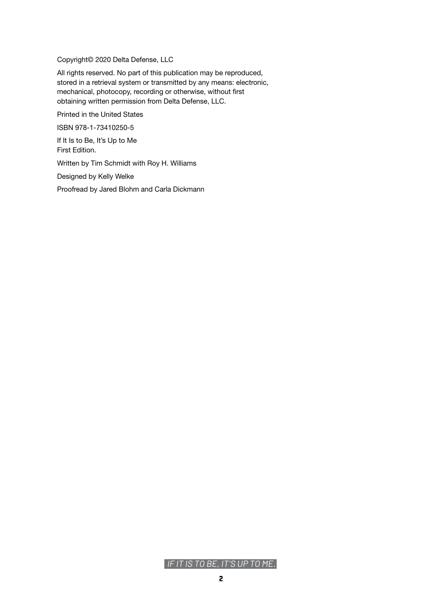Copyright© 2020 Delta Defense, LLC

All rights reserved. No part of this publication may be reproduced, stored in a retrieval system or transmitted by any means: electronic, mechanical, photocopy, recording or otherwise, without first obtaining written permission from Delta Defense, LLC.

Printed in the United States

ISBN 978-1-73410250-5

If It Is to Be, It's Up to Me First Edition.

Written by Tim Schmidt with Roy H. Williams

Designed by Kelly Welke

Proofread by Jared Blohm and Carla Dickmann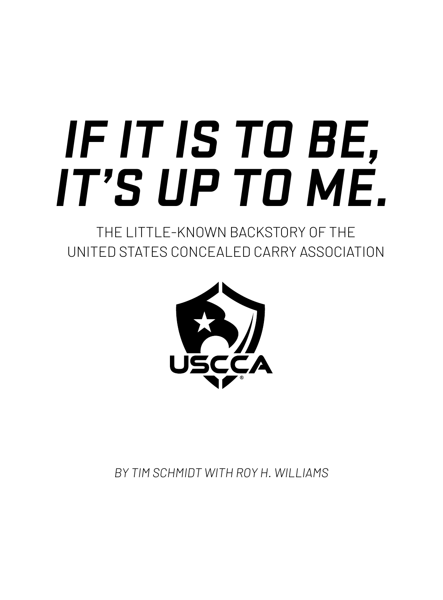# **IF IT IS TO BE, IT'S UP TO ME.**

THE LITTLE-KNOWN BACKSTORY OF THE UNITED STATES CONCEALED CARRY ASSOCIATION



*BY TIM SCHMIDT WITH ROY H. WILLIAMS*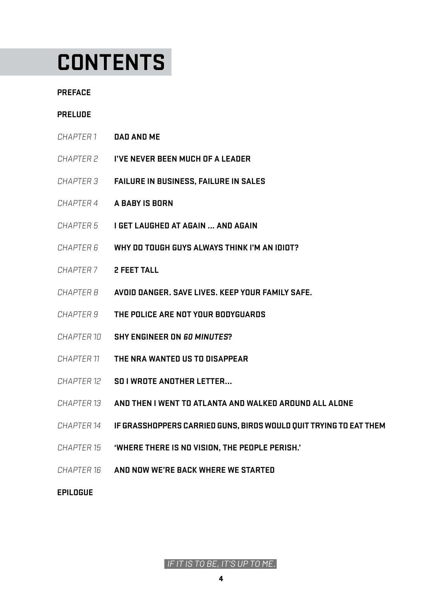# **CONTENTS**

#### **[PREFACE](#page-4-0)**

### **[PRELUDE](#page-5-0)**

- CHAPTER 1 **[DAD AND ME](#page-6-0)**
- CHAPTER 2 **[I'VE NEVER BEEN MUCH OF A LEADER](#page-9-0)**
- CHAPTER 3 **[FAILURE IN BUSINESS, FAILURE IN SALES](#page-13-0)**
- CHAPTER 4 **[A BABY IS BORN](#page-17-0)**
- CHAPTER 5 **[I GET LAUGHED AT AGAIN ... AND AGAIN](#page-20-0)**
- CHAPTER 6 **[WHY DO TOUGH GUYS ALWAYS THINK I'M AN IDIOT?](#page-23-0)**
- CHAPTER 7 **[2 FEET TALL](#page-26-0)**
- CHAPTER 8 **[AVOID DANGER. SAVE LIVES. KEEP YOUR FAMILY SAFE.](#page-28-0)**
- CHAPTER 9 **[THE POLICE ARE NOT YOUR BODYGUARDS](#page-32-0)**
- CHAPTER 10 **[SHY ENGINEER ON](#page-34-0) 60 MINUTES?**
- CHAPTER 11 **[THE NRA WANTED US TO DISAPPEAR](#page-38-0)**
- CHAPTER 12 **[SO I WROTE ANOTHER LETTER...](#page-41-0)**
- CHAPTER 13 **[AND THEN I WENT TO ATLANTA AND WALKED AROUND ALL ALONE](#page-45-0)**
- CHAPTER 14 **[IF GRASSHOPPERS CARRIED GUNS, BIRDS WOULD QUIT TRYING TO EAT THEM](#page-50-0)**
- CHAPTER 15 **['WHERE THERE IS NO VISION, THE PEOPLE PERISH.'](#page-52-0)**
- CHAPTER 16 **[AND NOW WE'RE BACK WHERE WE STARTED](#page-55-0)**

**[EPILOGUE](#page-67-0)**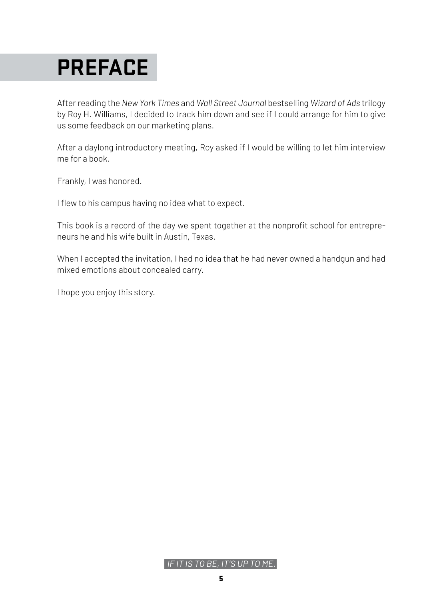# <span id="page-4-0"></span>**PREFACE**

After reading the *New York Times* and *Wall Street Journal* bestselling *Wizard of Ads* trilogy by Roy H. Williams, I decided to track him down and see if I could arrange for him to give us some feedback on our marketing plans.

After a daylong introductory meeting, Roy asked if I would be willing to let him interview me for a book.

Frankly, I was honored.

I flew to his campus having no idea what to expect.

This book is a record of the day we spent together at the nonprofit school for entrepreneurs he and his wife built in Austin, Texas.

When I accepted the invitation, I had no idea that he had never owned a handgun and had mixed emotions about concealed carry.

I hope you enjoy this story.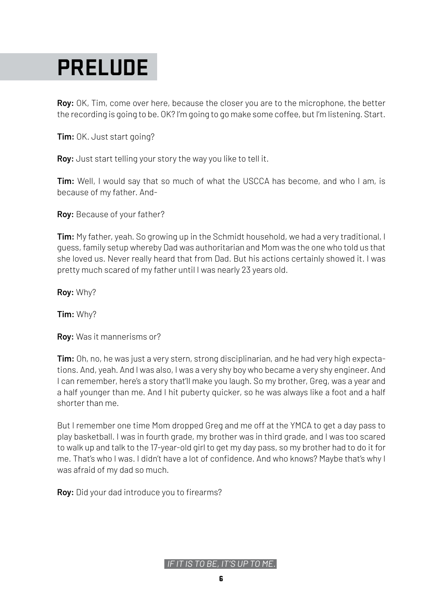# <span id="page-5-0"></span>**PRELUDE**

**Roy:** OK, Tim, come over here, because the closer you are to the microphone, the better the recording is going to be. OK? I'm going to go make some coffee, but I'm listening. Start.

**Tim:** OK. Just start going?

**Roy:** Just start telling your story the way you like to tell it.

**Tim:** Well, I would say that so much of what the USCCA has become, and who I am, is because of my father. And-

**Roy:** Because of your father?

**Tim:** My father, yeah. So growing up in the Schmidt household, we had a very traditional, I guess, family setup whereby Dad was authoritarian and Mom was the one who told us that she loved us. Never really heard that from Dad. But his actions certainly showed it. I was pretty much scared of my father until I was nearly 23 years old.

**Roy:** Why?

**Tim:** Why?

**Roy:** Was it mannerisms or?

**Tim:** Oh, no, he was just a very stern, strong disciplinarian, and he had very high expectations. And, yeah. And I was also, I was a very shy boy who became a very shy engineer. And I can remember, here's a story that'll make you laugh. So my brother, Greg, was a year and a half younger than me. And I hit puberty quicker, so he was always like a foot and a half shorter than me.

But I remember one time Mom dropped Greg and me off at the YMCA to get a day pass to play basketball. I was in fourth grade, my brother was in third grade, and I was too scared to walk up and talk to the 17-year-old girl to get my day pass, so my brother had to do it for me. That's who I was. I didn't have a lot of confidence. And who knows? Maybe that's why I was afraid of my dad so much.

**Roy:** Did your dad introduce you to firearms?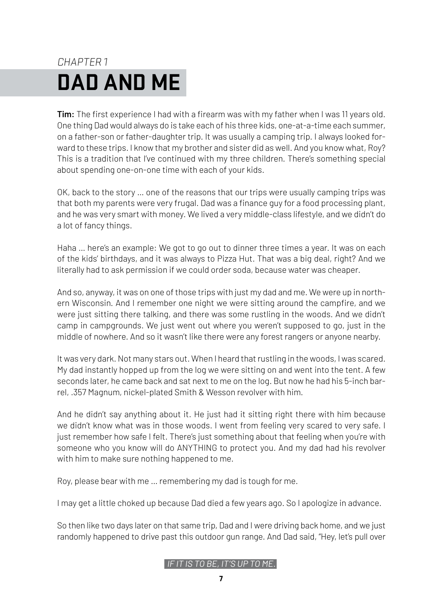# <span id="page-6-0"></span>CHAPTER 1 **DAD AND ME**

**Tim:** The first experience I had with a firearm was with my father when I was 11 years old. One thing Dad would always do is take each of his three kids, one-at-a-time each summer, on a father-son or father-daughter trip. It was usually a camping trip. I always looked forward to these trips. I know that my brother and sister did as well. And you know what, Roy? This is a tradition that I've continued with my three children. There's something special about spending one-on-one time with each of your kids.

OK, back to the story … one of the reasons that our trips were usually camping trips was that both my parents were very frugal. Dad was a finance guy for a food processing plant, and he was very smart with money. We lived a very middle-class lifestyle, and we didn't do a lot of fancy things.

Haha … here's an example: We got to go out to dinner three times a year. It was on each of the kids' birthdays, and it was always to Pizza Hut. That was a big deal, right? And we literally had to ask permission if we could order soda, because water was cheaper.

And so, anyway, it was on one of those trips with just my dad and me. We were up in northern Wisconsin. And I remember one night we were sitting around the campfire, and we were just sitting there talking, and there was some rustling in the woods. And we didn't camp in campgrounds. We just went out where you weren't supposed to go, just in the middle of nowhere. And so it wasn't like there were any forest rangers or anyone nearby.

It was very dark. Not many stars out. When I heard that rustling in the woods, I was scared. My dad instantly hopped up from the log we were sitting on and went into the tent. A few seconds later, he came back and sat next to me on the log. But now he had his 5-inch barrel, .357 Magnum, nickel-plated Smith & Wesson revolver with him.

And he didn't say anything about it. He just had it sitting right there with him because we didn't know what was in those woods. I went from feeling very scared to very safe. I just remember how safe I felt. There's just something about that feeling when you're with someone who you know will do ANYTHING to protect you. And my dad had his revolver with him to make sure nothing happened to me.

Roy, please bear with me … remembering my dad is tough for me.

I may get a little choked up because Dad died a few years ago. So I apologize in advance.

So then like two days later on that same trip, Dad and I were driving back home, and we just randomly happened to drive past this outdoor gun range. And Dad said, "Hey, let's pull over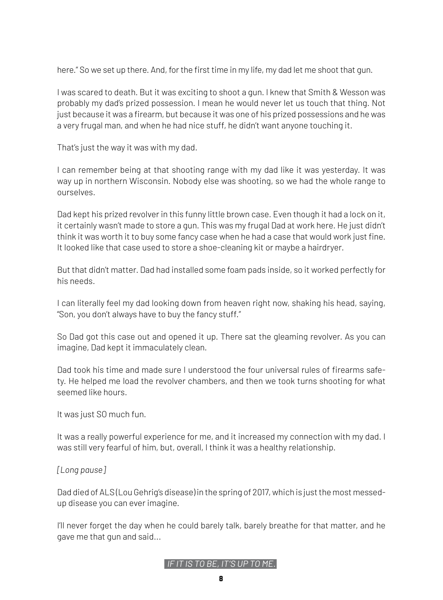here." So we set up there. And, for the first time in my life, my dad let me shoot that gun.

I was scared to death. But it was exciting to shoot a gun. I knew that Smith & Wesson was probably my dad's prized possession. I mean he would never let us touch that thing. Not just because it was a firearm, but because it was one of his prized possessions and he was a very frugal man, and when he had nice stuff, he didn't want anyone touching it.

That's just the way it was with my dad.

I can remember being at that shooting range with my dad like it was yesterday. It was way up in northern Wisconsin. Nobody else was shooting, so we had the whole range to ourselves.

Dad kept his prized revolver in this funny little brown case. Even though it had a lock on it, it certainly wasn't made to store a gun. This was my frugal Dad at work here. He just didn't think it was worth it to buy some fancy case when he had a case that would work just fine. It looked like that case used to store a shoe-cleaning kit or maybe a hairdryer.

But that didn't matter. Dad had installed some foam pads inside, so it worked perfectly for his needs.

I can literally feel my dad looking down from heaven right now, shaking his head, saying, "Son, you don't always have to buy the fancy stuff."

So Dad got this case out and opened it up. There sat the gleaming revolver. As you can imagine, Dad kept it immaculately clean.

Dad took his time and made sure I understood the four universal rules of firearms safety. He helped me load the revolver chambers, and then we took turns shooting for what seemed like hours.

It was just SO much fun.

It was a really powerful experience for me, and it increased my connection with my dad. I was still very fearful of him, but, overall, I think it was a healthy relationship.

### *[Long pause]*

Dad died of ALS (Lou Gehrig's disease) in the spring of 2017, which is just the most messedup disease you can ever imagine.

I'll never forget the day when he could barely talk, barely breathe for that matter, and he gave me that gun and said...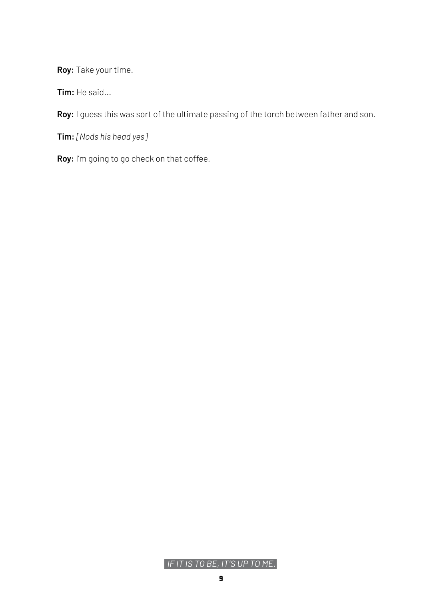**Roy:** Take your time.

**Tim:** He said...

**Roy:** I guess this was sort of the ultimate passing of the torch between father and son.

**Tim:** *[Nods his head yes]*

**Roy:** I'm going to go check on that coffee.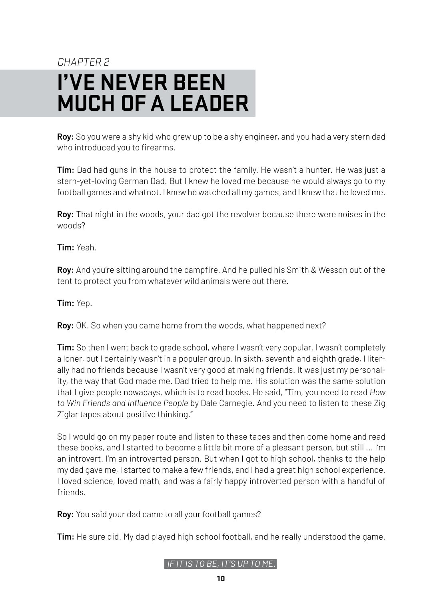## <span id="page-9-0"></span>CHAPTER 2 **I'VE NEVER BEEN MUCH OF A LEADER**

**Roy:** So you were a shy kid who grew up to be a shy engineer, and you had a very stern dad who introduced you to firearms.

**Tim:** Dad had guns in the house to protect the family. He wasn't a hunter. He was just a stern-yet-loving German Dad. But I knew he loved me because he would always go to my football games and whatnot. I knew he watched all my games, and I knew that he loved me.

**Roy:** That night in the woods, your dad got the revolver because there were noises in the woods?

**Tim:** Yeah.

**Roy:** And you're sitting around the campfire. And he pulled his Smith & Wesson out of the tent to protect you from whatever wild animals were out there.

**Tim:** Yep.

**Roy:** OK. So when you came home from the woods, what happened next?

**Tim:** So then I went back to grade school, where I wasn't very popular. I wasn't completely a loner, but I certainly wasn't in a popular group. In sixth, seventh and eighth grade, I literally had no friends because I wasn't very good at making friends. It was just my personality, the way that God made me. Dad tried to help me. His solution was the same solution that I give people nowadays, which is to read books. He said, "Tim, you need to read *How to Win Friends and Influence People* by Dale Carnegie. And you need to listen to these Zig Ziglar tapes about positive thinking."

So I would go on my paper route and listen to these tapes and then come home and read these books, and I started to become a little bit more of a pleasant person, but still ... I'm an introvert. I'm an introverted person. But when I got to high school, thanks to the help my dad gave me, I started to make a few friends, and I had a great high school experience. I loved science, loved math, and was a fairly happy introverted person with a handful of friends.

**Roy:** You said your dad came to all your football games?

**Tim:** He sure did. My dad played high school football, and he really understood the game.

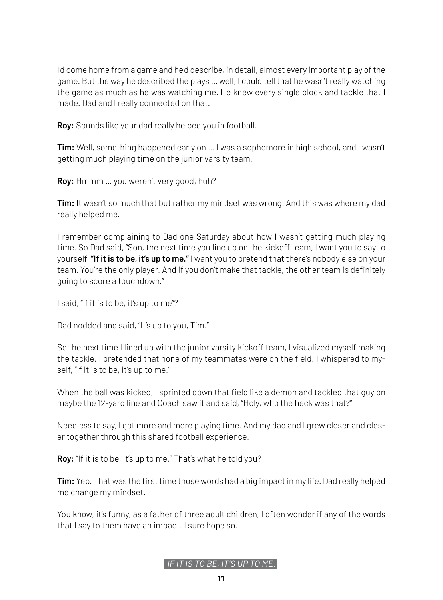I'd come home from a game and he'd describe, in detail, almost every important play of the game. But the way he described the plays … well, I could tell that he wasn't really watching the game as much as he was watching me. He knew every single block and tackle that I made. Dad and I really connected on that.

**Roy:** Sounds like your dad really helped you in football.

**Tim:** Well, something happened early on … I was a sophomore in high school, and I wasn't getting much playing time on the junior varsity team.

**Roy:** Hmmm … you weren't very good, huh?

**Tim:** It wasn't so much that but rather my mindset was wrong. And this was where my dad really helped me.

I remember complaining to Dad one Saturday about how I wasn't getting much playing time. So Dad said, "Son, the next time you line up on the kickoff team, I want you to say to yourself, **"If it is to be, it's up to me."** I want you to pretend that there's nobody else on your team. You're the only player. And if you don't make that tackle, the other team is definitely going to score a touchdown."

I said, "If it is to be, it's up to me"?

Dad nodded and said, "It's up to you, Tim."

So the next time I lined up with the junior varsity kickoff team, I visualized myself making the tackle. I pretended that none of my teammates were on the field. I whispered to myself, "If it is to be, it's up to me."

When the ball was kicked, I sprinted down that field like a demon and tackled that guy on maybe the 12-yard line and Coach saw it and said, "Holy, who the heck was that?"

Needless to say, I got more and more playing time. And my dad and I grew closer and closer together through this shared football experience.

**Roy:** "If it is to be, it's up to me." That's what he told you?

**Tim:** Yep. That was the first time those words had a big impact in my life. Dad really helped me change my mindset.

You know, it's funny, as a father of three adult children, I often wonder if any of the words that I say to them have an impact. I sure hope so.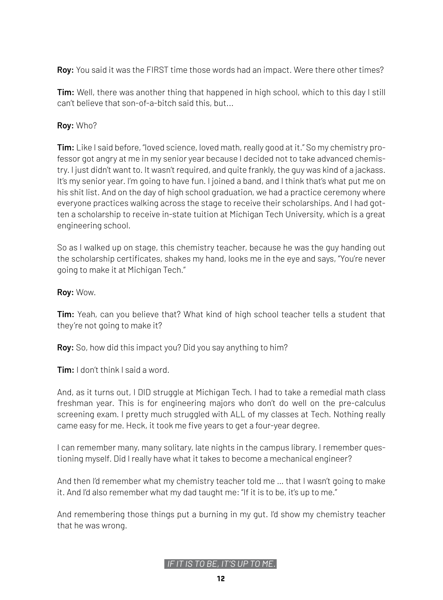**Roy:** You said it was the FIRST time those words had an impact. Were there other times?

**Tim:** Well, there was another thing that happened in high school, which to this day I still can't believe that son-of-a-bitch said this, but...

### **Roy:** Who?

**Tim:** Like I said before, "loved science, loved math, really good at it." So my chemistry professor got angry at me in my senior year because I decided not to take advanced chemistry. I just didn't want to. It wasn't required, and quite frankly, the guy was kind of a jackass. It's my senior year. I'm going to have fun. I joined a band, and I think that's what put me on his shit list. And on the day of high school graduation, we had a practice ceremony where everyone practices walking across the stage to receive their scholarships. And I had gotten a scholarship to receive in-state tuition at Michigan Tech University, which is a great engineering school.

So as I walked up on stage, this chemistry teacher, because he was the guy handing out the scholarship certificates, shakes my hand, looks me in the eye and says, "You're never going to make it at Michigan Tech."

### **Roy:** Wow.

**Tim:** Yeah, can you believe that? What kind of high school teacher tells a student that they're not going to make it?

**Roy:** So, how did this impact you? Did you say anything to him?

**Tim:** I don't think I said a word.

And, as it turns out, I DID struggle at Michigan Tech. I had to take a remedial math class freshman year. This is for engineering majors who don't do well on the pre-calculus screening exam. I pretty much struggled with ALL of my classes at Tech. Nothing really came easy for me. Heck, it took me five years to get a four-year degree.

I can remember many, many solitary, late nights in the campus library. I remember questioning myself. Did I really have what it takes to become a mechanical engineer?

And then I'd remember what my chemistry teacher told me … that I wasn't going to make it. And I'd also remember what my dad taught me: "If it is to be, it's up to me."

And remembering those things put a burning in my gut. I'd show my chemistry teacher that he was wrong.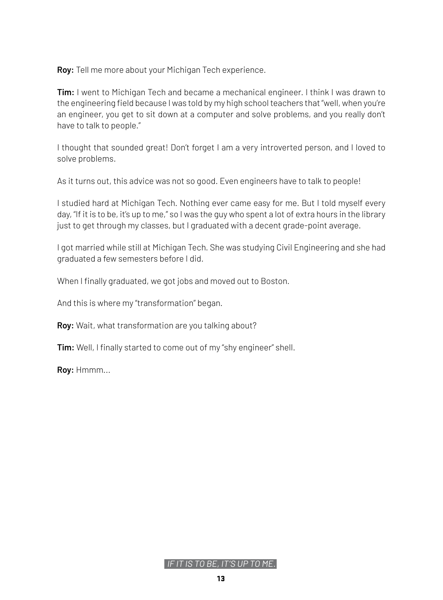**Roy:** Tell me more about your Michigan Tech experience.

**Tim:** I went to Michigan Tech and became a mechanical engineer. I think I was drawn to the engineering field because I was told by my high school teachers that "well, when you're an engineer, you get to sit down at a computer and solve problems, and you really don't have to talk to people."

I thought that sounded great! Don't forget I am a very introverted person, and I loved to solve problems.

As it turns out, this advice was not so good. Even engineers have to talk to people!

I studied hard at Michigan Tech. Nothing ever came easy for me. But I told myself every day, "If it is to be, it's up to me," so I was the guy who spent a lot of extra hours in the library just to get through my classes, but I graduated with a decent grade-point average.

I got married while still at Michigan Tech. She was studying Civil Engineering and she had graduated a few semesters before I did.

When I finally graduated, we got jobs and moved out to Boston.

And this is where my "transformation" began.

**Roy:** Wait, what transformation are you talking about?

**Tim:** Well, I finally started to come out of my "shy engineer" shell.

**Roy:** Hmmm...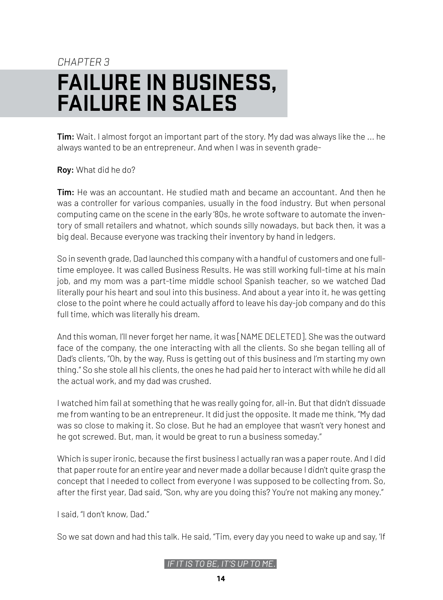# <span id="page-13-0"></span>CHAPTER 3 **FAILURE IN BUSINESS, FAILURE IN SALES**

**Tim:** Wait. I almost forgot an important part of the story. My dad was always like the ... he always wanted to be an entrepreneur. And when I was in seventh grade-

**Roy:** What did he do?

**Tim:** He was an accountant. He studied math and became an accountant. And then he was a controller for various companies, usually in the food industry. But when personal computing came on the scene in the early '80s, he wrote software to automate the inventory of small retailers and whatnot, which sounds silly nowadays, but back then, it was a big deal. Because everyone was tracking their inventory by hand in ledgers.

So in seventh grade, Dad launched this company with a handful of customers and one fulltime employee. It was called Business Results. He was still working full-time at his main job, and my mom was a part-time middle school Spanish teacher, so we watched Dad literally pour his heart and soul into this business. And about a year into it, he was getting close to the point where he could actually afford to leave his day-job company and do this full time, which was literally his dream.

And this woman, I'll never forget her name, it was [NAME DELETED]. She was the outward face of the company, the one interacting with all the clients. So she began telling all of Dad's clients, "Oh, by the way, Russ is getting out of this business and I'm starting my own thing." So she stole all his clients, the ones he had paid her to interact with while he did all the actual work, and my dad was crushed.

I watched him fail at something that he was really going for, all-in. But that didn't dissuade me from wanting to be an entrepreneur. It did just the opposite. It made me think, "My dad was so close to making it. So close. But he had an employee that wasn't very honest and he got screwed. But, man, it would be great to run a business someday."

Which is super ironic, because the first business I actually ran was a paper route. And I did that paper route for an entire year and never made a dollar because I didn't quite grasp the concept that I needed to collect from everyone I was supposed to be collecting from. So, after the first year, Dad said, "Son, why are you doing this? You're not making any money."

I said, "I don't know, Dad."

So we sat down and had this talk. He said, "Tim, every day you need to wake up and say, 'If

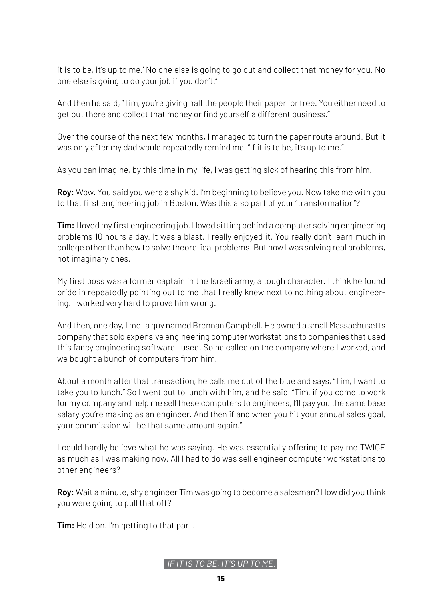it is to be, it's up to me.' No one else is going to go out and collect that money for you. No one else is going to do your job if you don't."

And then he said, "Tim, you're giving half the people their paper for free. You either need to get out there and collect that money or find yourself a different business."

Over the course of the next few months, I managed to turn the paper route around. But it was only after my dad would repeatedly remind me, "If it is to be, it's up to me."

As you can imagine, by this time in my life, I was getting sick of hearing this from him.

**Roy:** Wow. You said you were a shy kid. I'm beginning to believe you. Now take me with you to that first engineering job in Boston. Was this also part of your "transformation"?

**Tim:** I loved my first engineering job. I loved sitting behind a computer solving engineering problems 10 hours a day. It was a blast. I really enjoyed it. You really don't learn much in college other than how to solve theoretical problems. But now I was solving real problems, not imaginary ones.

My first boss was a former captain in the Israeli army, a tough character. I think he found pride in repeatedly pointing out to me that I really knew next to nothing about engineering. I worked very hard to prove him wrong.

And then, one day, I met a guy named Brennan Campbell. He owned a small Massachusetts company that sold expensive engineering computer workstations to companies that used this fancy engineering software I used. So he called on the company where I worked, and we bought a bunch of computers from him.

About a month after that transaction, he calls me out of the blue and says, "Tim, I want to take you to lunch." So I went out to lunch with him, and he said, "Tim, if you come to work for my company and help me sell these computers to engineers, I'll pay you the same base salary you're making as an engineer. And then if and when you hit your annual sales goal, your commission will be that same amount again."

I could hardly believe what he was saying. He was essentially offering to pay me TWICE as much as I was making now. All I had to do was sell engineer computer workstations to other engineers?

**Roy:** Wait a minute, shy engineer Tim was going to become a salesman? How did you think you were going to pull that off?

**Tim:** Hold on. I'm getting to that part.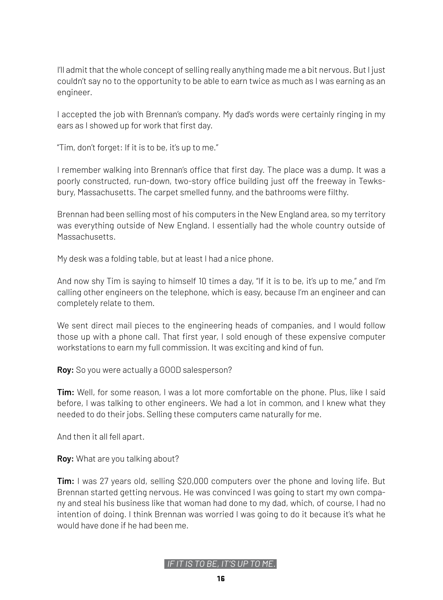I'll admit that the whole concept of selling really anything made me a bit nervous. But I just couldn't say no to the opportunity to be able to earn twice as much as I was earning as an engineer.

I accepted the job with Brennan's company. My dad's words were certainly ringing in my ears as I showed up for work that first day.

"Tim, don't forget: If it is to be, it's up to me."

I remember walking into Brennan's office that first day. The place was a dump. It was a poorly constructed, run-down, two-story office building just off the freeway in Tewksbury, Massachusetts. The carpet smelled funny, and the bathrooms were filthy.

Brennan had been selling most of his computers in the New England area, so my territory was everything outside of New England. I essentially had the whole country outside of Massachusetts.

My desk was a folding table, but at least I had a nice phone.

And now shy Tim is saying to himself 10 times a day, "If it is to be, it's up to me," and I'm calling other engineers on the telephone, which is easy, because I'm an engineer and can completely relate to them.

We sent direct mail pieces to the engineering heads of companies, and I would follow those up with a phone call. That first year, I sold enough of these expensive computer workstations to earn my full commission. It was exciting and kind of fun.

**Roy:** So you were actually a GOOD salesperson?

**Tim:** Well, for some reason, I was a lot more comfortable on the phone. Plus, like I said before, I was talking to other engineers. We had a lot in common, and I knew what they needed to do their jobs. Selling these computers came naturally for me.

And then it all fell apart.

**Roy:** What are you talking about?

**Tim:** I was 27 years old, selling \$20,000 computers over the phone and loving life. But Brennan started getting nervous. He was convinced I was going to start my own company and steal his business like that woman had done to my dad, which, of course, I had no intention of doing. I think Brennan was worried I was going to do it because it's what he would have done if he had been me.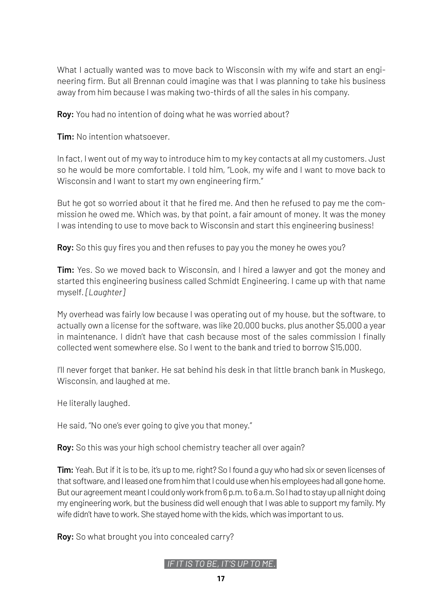What I actually wanted was to move back to Wisconsin with my wife and start an engineering firm. But all Brennan could imagine was that I was planning to take his business away from him because I was making two-thirds of all the sales in his company.

**Roy:** You had no intention of doing what he was worried about?

**Tim:** No intention whatsoever.

In fact, I went out of my way to introduce him to my key contacts at all my customers. Just so he would be more comfortable. I told him, "Look, my wife and I want to move back to Wisconsin and I want to start my own engineering firm."

But he got so worried about it that he fired me. And then he refused to pay me the commission he owed me. Which was, by that point, a fair amount of money. It was the money I was intending to use to move back to Wisconsin and start this engineering business!

**Roy:** So this guy fires you and then refuses to pay you the money he owes you?

**Tim:** Yes. So we moved back to Wisconsin, and I hired a lawyer and got the money and started this engineering business called Schmidt Engineering. I came up with that name myself. *[Laughter]* 

My overhead was fairly low because I was operating out of my house, but the software, to actually own a license for the software, was like 20,000 bucks, plus another \$5,000 a year in maintenance. I didn't have that cash because most of the sales commission I finally collected went somewhere else. So I went to the bank and tried to borrow \$15,000.

I'll never forget that banker. He sat behind his desk in that little branch bank in Muskego, Wisconsin, and laughed at me.

He literally laughed.

He said, "No one's ever going to give you that money."

**Roy:** So this was your high school chemistry teacher all over again?

**Tim:** Yeah. But if it is to be, it's up to me, right? So I found a guy who had six or seven licenses of that software, and I leased one from him that I could use when his employees had all gone home. But our agreement meant I could only work from 6 p.m. to 6 a.m. So I had to stay up all night doing my engineering work, but the business did well enough that I was able to support my family. My wife didn't have to work. She stayed home with the kids, which was important to us.

**Roy:** So what brought you into concealed carry?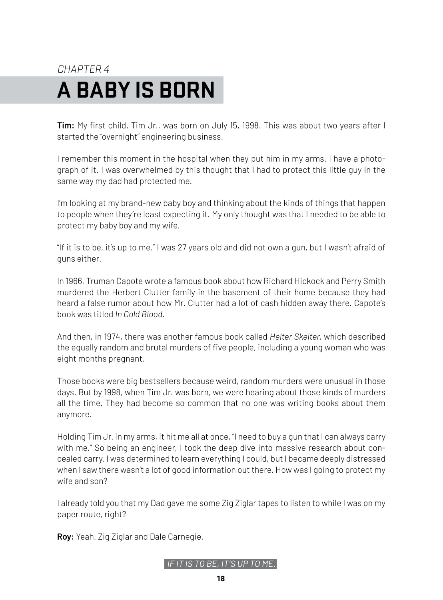# <span id="page-17-0"></span>CHAPTER 4 **A BABY IS BORN**

**Tim:** My first child, Tim Jr., was born on July 15, 1998. This was about two years after I started the "overnight" engineering business.

I remember this moment in the hospital when they put him in my arms. I have a photograph of it. I was overwhelmed by this thought that I had to protect this little guy in the same way my dad had protected me.

I'm looking at my brand-new baby boy and thinking about the kinds of things that happen to people when they're least expecting it. My only thought was that I needed to be able to protect my baby boy and my wife.

"If it is to be, it's up to me." I was 27 years old and did not own a gun, but I wasn't afraid of guns either.

In 1966, Truman Capote wrote a famous book about how Richard Hickock and Perry Smith murdered the Herbert Clutter family in the basement of their home because they had heard a false rumor about how Mr. Clutter had a lot of cash hidden away there. Capote's book was titled *In Cold Blood.*

And then, in 1974, there was another famous book called *Helter Skelter,* which described the equally random and brutal murders of five people, including a young woman who was eight months pregnant.

Those books were big bestsellers because weird, random murders were unusual in those days. But by 1998, when Tim Jr. was born, we were hearing about those kinds of murders all the time. They had become so common that no one was writing books about them anymore.

Holding Tim Jr. in my arms, it hit me all at once, "I need to buy a gun that I can always carry with me." So being an engineer, I took the deep dive into massive research about concealed carry. I was determined to learn everything I could, but I became deeply distressed when I saw there wasn't a lot of good information out there. How was I going to protect my wife and son?

I already told you that my Dad gave me some Zig Ziglar tapes to listen to while I was on my paper route, right?

**Roy:** Yeah. Zig Ziglar and Dale Carnegie.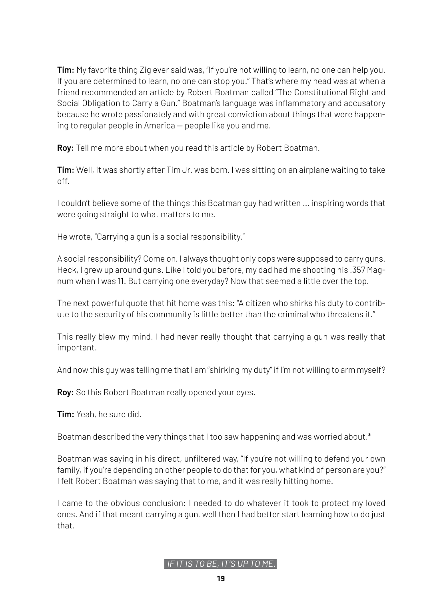**Tim:** My favorite thing Zig ever said was, "If you're not willing to learn, no one can help you. If you are determined to learn, no one can stop you." That's where my head was at when a friend recommended an article by Robert Boatman called "The Constitutional Right and Social Obligation to Carry a Gun." Boatman's language was inflammatory and accusatory because he wrote passionately and with great conviction about things that were happening to regular people in America — people like you and me.

**Roy:** Tell me more about when you read this article by Robert Boatman.

**Tim:** Well, it was shortly after Tim Jr. was born. I was sitting on an airplane waiting to take off.

I couldn't believe some of the things this Boatman guy had written … inspiring words that were going straight to what matters to me.

He wrote, "Carrying a gun is a social responsibility."

A social responsibility? Come on. I always thought only cops were supposed to carry guns. Heck, I grew up around guns. Like I told you before, my dad had me shooting his .357 Magnum when I was 11. But carrying one everyday? Now that seemed a little over the top.

The next powerful quote that hit home was this: "A citizen who shirks his duty to contribute to the security of his community is little better than the criminal who threatens it."

This really blew my mind. I had never really thought that carrying a gun was really that important.

And now this guy was telling me that I am "shirking my duty" if I'm not willing to arm myself?

**Roy:** So this Robert Boatman really opened your eyes.

**Tim:** Yeah, he sure did.

Boatman described the very things that I too saw happening and was worried about.\*

Boatman was saying in his direct, unfiltered way, "If you're not willing to defend your own family, if you're depending on other people to do that for you, what kind of person are you?" I felt Robert Boatman was saying that to me, and it was really hitting home.

I came to the obvious conclusion: I needed to do whatever it took to protect my loved ones. And if that meant carrying a gun, well then I had better start learning how to do just that.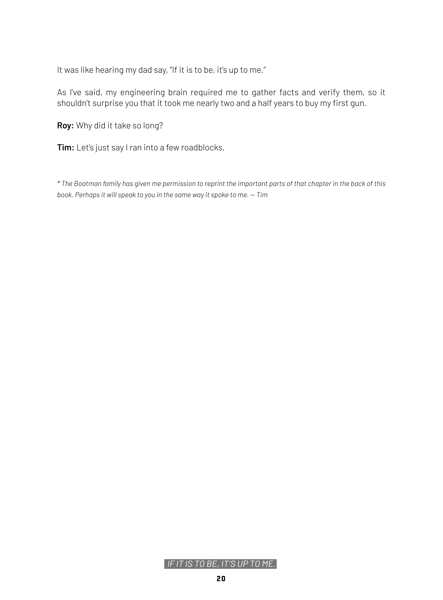It was like hearing my dad say, "If it is to be, it's up to me."

As I've said, my engineering brain required me to gather facts and verify them, so it shouldn't surprise you that it took me nearly two and a half years to buy my first gun.

**Roy:** Why did it take so long?

**Tim:** Let's just say I ran into a few roadblocks.

*\* The Boatman family has given me permission to reprint the important parts of that chapter in the back of this book. Perhaps it will speak to you in the same way it spoke to me. — Tim*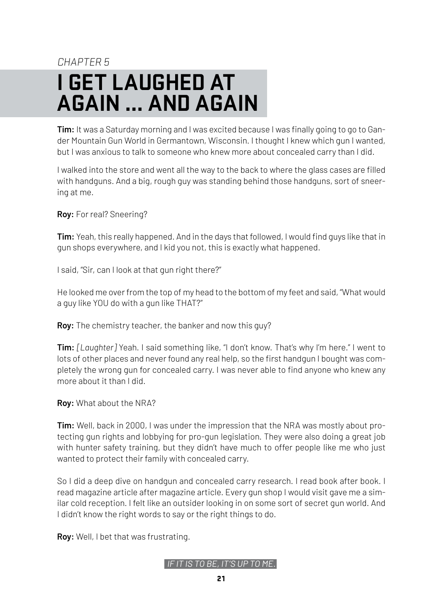# <span id="page-20-0"></span>CHAPTER<sub>5</sub> **I GET LAUGHED AT AGAIN ... AND AGAIN**

**Tim:** It was a Saturday morning and I was excited because I was finally going to go to Gander Mountain Gun World in Germantown, Wisconsin. I thought I knew which gun I wanted, but I was anxious to talk to someone who knew more about concealed carry than I did.

I walked into the store and went all the way to the back to where the glass cases are filled with handguns. And a big, rough guy was standing behind those handguns, sort of sneering at me.

**Roy:** For real? Sneering?

**Tim:** Yeah, this really happened. And in the days that followed, I would find guys like that in gun shops everywhere, and I kid you not, this is exactly what happened.

I said, "Sir, can I look at that gun right there?"

He looked me over from the top of my head to the bottom of my feet and said, "What would a guy like YOU do with a gun like THAT?"

**Roy:** The chemistry teacher, the banker and now this guy?

**Tim:** *[Laughter]* Yeah. I said something like, "I don't know. That's why I'm here." I went to lots of other places and never found any real help, so the first handgun I bought was completely the wrong gun for concealed carry. I was never able to find anyone who knew any more about it than I did.

**Roy:** What about the NRA?

**Tim:** Well, back in 2000, I was under the impression that the NRA was mostly about protecting gun rights and lobbying for pro-gun legislation. They were also doing a great job with hunter safety training, but they didn't have much to offer people like me who just wanted to protect their family with concealed carry.

So I did a deep dive on handgun and concealed carry research. I read book after book. I read magazine article after magazine article. Every gun shop I would visit gave me a similar cold reception. I felt like an outsider looking in on some sort of secret gun world. And I didn't know the right words to say or the right things to do.

**Roy:** Well, I bet that was frustrating.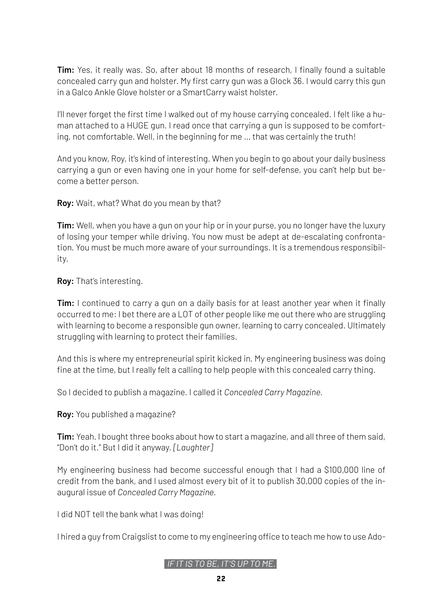**Tim:** Yes, it really was. So, after about 18 months of research, I finally found a suitable concealed carry gun and holster. My first carry gun was a Glock 36. I would carry this gun in a Galco Ankle Glove holster or a SmartCarry waist holster.

I'll never forget the first time I walked out of my house carrying concealed. I felt like a human attached to a HUGE gun. I read once that carrying a gun is supposed to be comforting, not comfortable. Well, in the beginning for me … that was certainly the truth!

And you know, Roy, it's kind of interesting. When you begin to go about your daily business carrying a gun or even having one in your home for self-defense, you can't help but become a better person.

**Roy:** Wait, what? What do you mean by that?

**Tim:** Well, when you have a gun on your hip or in your purse, you no longer have the luxury of losing your temper while driving. You now must be adept at de-escalating confrontation. You must be much more aware of your surroundings. It is a tremendous responsibility.

**Roy:** That's interesting.

**Tim:** I continued to carry a gun on a daily basis for at least another year when it finally occurred to me: I bet there are a LOT of other people like me out there who are struggling with learning to become a responsible gun owner, learning to carry concealed. Ultimately struggling with learning to protect their families.

And this is where my entrepreneurial spirit kicked in. My engineering business was doing fine at the time, but I really felt a calling to help people with this concealed carry thing.

So I decided to publish a magazine. I called it *Concealed Carry Magazine.*

**Roy:** You published a magazine?

**Tim:** Yeah. I bought three books about how to start a magazine, and all three of them said, "Don't do it." But I did it anyway. *[Laughter]*

My engineering business had become successful enough that I had a \$100,000 line of credit from the bank, and I used almost every bit of it to publish 30,000 copies of the inaugural issue of *Concealed Carry Magazine.*

I did NOT tell the bank what I was doing!

I hired a guy from Craigslist to come to my engineering office to teach me how to use Ado-

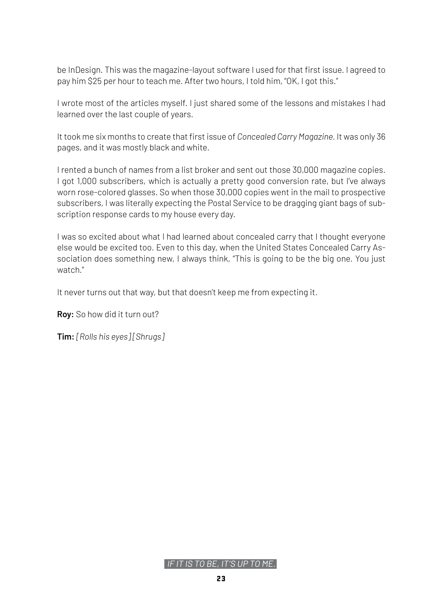be InDesign. This was the magazine-layout software I used for that first issue. I agreed to pay him \$25 per hour to teach me. After two hours, I told him, "OK, I got this."

I wrote most of the articles myself. I just shared some of the lessons and mistakes I had learned over the last couple of years.

It took me six months to create that first issue of *Concealed Carry Magazine.* It was only 36 pages, and it was mostly black and white.

I rented a bunch of names from a list broker and sent out those 30,000 magazine copies. I got 1,000 subscribers, which is actually a pretty good conversion rate, but I've always worn rose-colored glasses. So when those 30,000 copies went in the mail to prospective subscribers, I was literally expecting the Postal Service to be dragging giant bags of subscription response cards to my house every day.

I was so excited about what I had learned about concealed carry that I thought everyone else would be excited too. Even to this day, when the United States Concealed Carry Association does something new, I always think, "This is going to be the big one. You just watch."

It never turns out that way, but that doesn't keep me from expecting it.

**Roy:** So how did it turn out?

**Tim:** *[Rolls his eyes] [Shrugs]*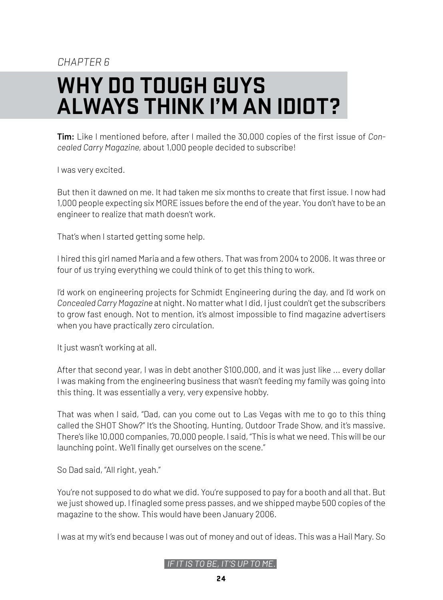### CHAPTER<sub>R</sub>

# <span id="page-23-0"></span>**WHY DO TOUGH GUYS ALWAYS THINK I'M AN IDIOT?**

**Tim:** Like I mentioned before, after I mailed the 30,000 copies of the first issue of *Concealed Carry Magazine,* about 1,000 people decided to subscribe!

I was very excited.

But then it dawned on me. It had taken me six months to create that first issue. I now had 1,000 people expecting six MORE issues before the end of the year. You don't have to be an engineer to realize that math doesn't work.

That's when I started getting some help.

I hired this girl named Maria and a few others. That was from 2004 to 2006. It was three or four of us trying everything we could think of to get this thing to work.

I'd work on engineering projects for Schmidt Engineering during the day, and I'd work on *Concealed Carry Magazine* at night. No matter what I did, I just couldn't get the subscribers to grow fast enough. Not to mention, it's almost impossible to find magazine advertisers when you have practically zero circulation.

It just wasn't working at all.

After that second year, I was in debt another \$100,000, and it was just like ... every dollar I was making from the engineering business that wasn't feeding my family was going into this thing. It was essentially a very, very expensive hobby.

That was when I said, "Dad, can you come out to Las Vegas with me to go to this thing called the SHOT Show?" It's the Shooting, Hunting, Outdoor Trade Show, and it's massive. There's like 10,000 companies, 70,000 people. I said, "This is what we need. This will be our launching point. We'll finally get ourselves on the scene."

So Dad said, "All right, yeah."

You're not supposed to do what we did. You're supposed to pay for a booth and all that. But we just showed up. I finagled some press passes, and we shipped maybe 500 copies of the magazine to the show. This would have been January 2006.

I was at my wit's end because I was out of money and out of ideas. This was a Hail Mary. So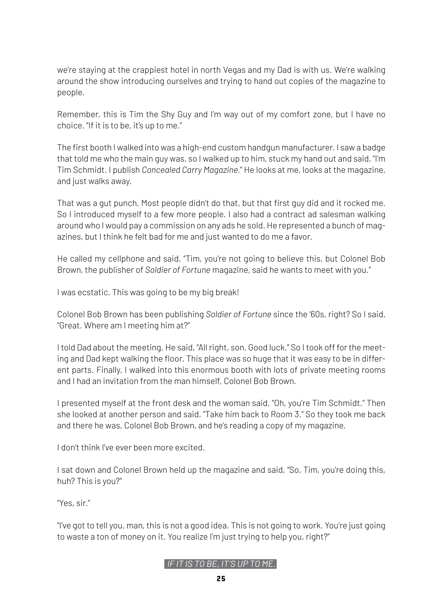we're staying at the crappiest hotel in north Vegas and my Dad is with us. We're walking around the show introducing ourselves and trying to hand out copies of the magazine to people.

Remember, this is Tim the Shy Guy and I'm way out of my comfort zone, but I have no choice. "If it is to be, it's up to me."

The first booth I walked into was a high-end custom handgun manufacturer. I saw a badge that told me who the main guy was, so I walked up to him, stuck my hand out and said, "I'm Tim Schmidt. I publish *Concealed Carry Magazine.*" He looks at me, looks at the magazine, and just walks away.

That was a gut punch. Most people didn't do that, but that first guy did and it rocked me. So I introduced myself to a few more people. I also had a contract ad salesman walking around who I would pay a commission on any ads he sold. He represented a bunch of magazines, but I think he felt bad for me and just wanted to do me a favor.

He called my cellphone and said, "Tim, you're not going to believe this, but Colonel Bob Brown, the publisher of *Soldier of Fortune* magazine, said he wants to meet with you."

I was ecstatic. This was going to be my big break!

Colonel Bob Brown has been publishing *Soldier of Fortune* since the '60s, right? So I said, "Great. Where am I meeting him at?"

I told Dad about the meeting. He said, "All right, son. Good luck." So I took off for the meeting and Dad kept walking the floor. This place was so huge that it was easy to be in different parts. Finally, I walked into this enormous booth with lots of private meeting rooms and I had an invitation from the man himself, Colonel Bob Brown.

I presented myself at the front desk and the woman said, "Oh, you're Tim Schmidt." Then she looked at another person and said, "Take him back to Room 3." So they took me back and there he was, Colonel Bob Brown, and he's reading a copy of my magazine.

I don't think I've ever been more excited.

I sat down and Colonel Brown held up the magazine and said, "So, Tim, you're doing this, huh? This is you?"

"Yes, sir."

"I've got to tell you, man, this is not a good idea. This is not going to work. You're just going to waste a ton of money on it. You realize I'm just trying to help you, right?"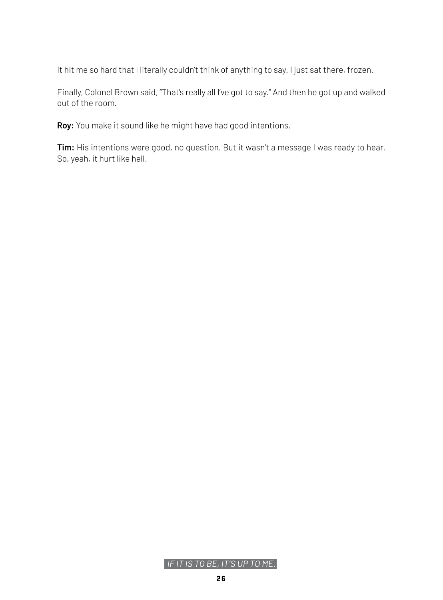It hit me so hard that I literally couldn't think of anything to say. I just sat there, frozen.

Finally, Colonel Brown said, "That's really all I've got to say." And then he got up and walked out of the room.

**Roy:** You make it sound like he might have had good intentions.

**Tim:** His intentions were good, no question. But it wasn't a message I was ready to hear. So, yeah, it hurt like hell.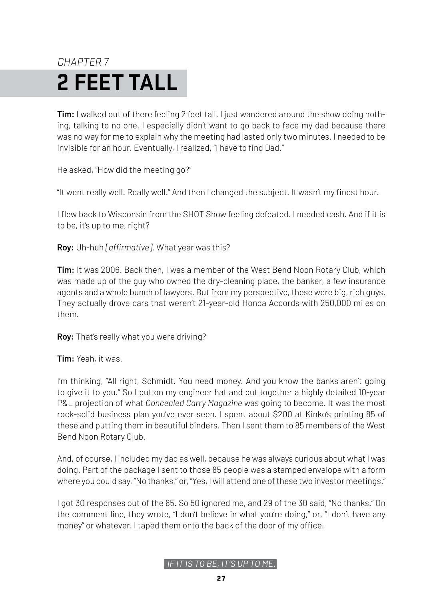# <span id="page-26-0"></span>CHAPTER 7 **2 FEET TALL**

**Tim:** I walked out of there feeling 2 feet tall. I just wandered around the show doing nothing, talking to no one. I especially didn't want to go back to face my dad because there was no way for me to explain why the meeting had lasted only two minutes. I needed to be invisible for an hour. Eventually, I realized, "I have to find Dad."

He asked, "How did the meeting go?"

"It went really well. Really well." And then I changed the subject. It wasn't my finest hour.

I flew back to Wisconsin from the SHOT Show feeling defeated. I needed cash. And if it is to be, it's up to me, right?

**Roy:** Uh-huh *[affirmative].* What year was this?

**Tim:** It was 2006. Back then, I was a member of the West Bend Noon Rotary Club, which was made up of the guy who owned the dry-cleaning place, the banker, a few insurance agents and a whole bunch of lawyers. But from my perspective, these were big, rich guys. They actually drove cars that weren't 21-year-old Honda Accords with 250,000 miles on them.

**Roy:** That's really what you were driving?

**Tim:** Yeah, it was.

I'm thinking, "All right, Schmidt. You need money. And you know the banks aren't going to give it to you." So I put on my engineer hat and put together a highly detailed 10-year P&L projection of what *Concealed Carry Magazine* was going to become. It was the most rock-solid business plan you've ever seen. I spent about \$200 at Kinko's printing 85 of these and putting them in beautiful binders. Then I sent them to 85 members of the West Bend Noon Rotary Club.

And, of course, I included my dad as well, because he was always curious about what I was doing. Part of the package I sent to those 85 people was a stamped envelope with a form where you could say, "No thanks," or, "Yes, I will attend one of these two investor meetings."

I got 30 responses out of the 85. So 50 ignored me, and 29 of the 30 said, "No thanks." On the comment line, they wrote, "I don't believe in what you're doing," or, "I don't have any money" or whatever. I taped them onto the back of the door of my office.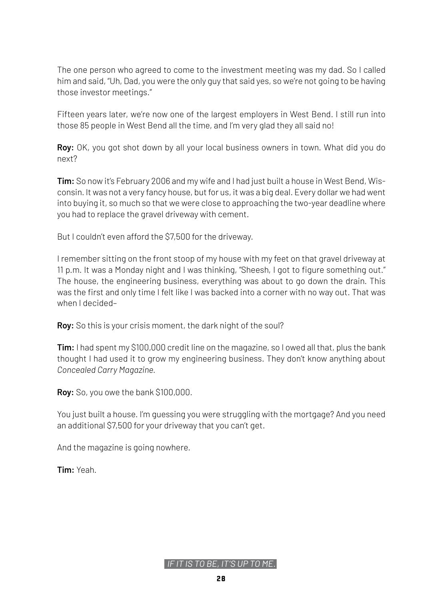The one person who agreed to come to the investment meeting was my dad. So I called him and said, "Uh, Dad, you were the only guy that said yes, so we're not going to be having those investor meetings."

Fifteen years later, we're now one of the largest employers in West Bend. I still run into those 85 people in West Bend all the time, and I'm very glad they all said no!

**Roy:** OK, you got shot down by all your local business owners in town. What did you do next?

**Tim:** So now it's February 2006 and my wife and I had just built a house in West Bend, Wisconsin. It was not a very fancy house, but for us, it was a big deal. Every dollar we had went into buying it, so much so that we were close to approaching the two-year deadline where you had to replace the gravel driveway with cement.

But I couldn't even afford the \$7,500 for the driveway.

I remember sitting on the front stoop of my house with my feet on that gravel driveway at 11 p.m. It was a Monday night and I was thinking, "Sheesh, I got to figure something out." The house, the engineering business, everything was about to go down the drain. This was the first and only time I felt like I was backed into a corner with no way out. That was when I decided–

**Roy:** So this is your crisis moment, the dark night of the soul?

**Tim:** I had spent my \$100,000 credit line on the magazine, so I owed all that, plus the bank thought I had used it to grow my engineering business. They don't know anything about *Concealed Carry Magazine.* 

**Roy:** So, you owe the bank \$100,000.

You just built a house. I'm guessing you were struggling with the mortgage? And you need an additional \$7,500 for your driveway that you can't get.

And the magazine is going nowhere.

**Tim:** Yeah.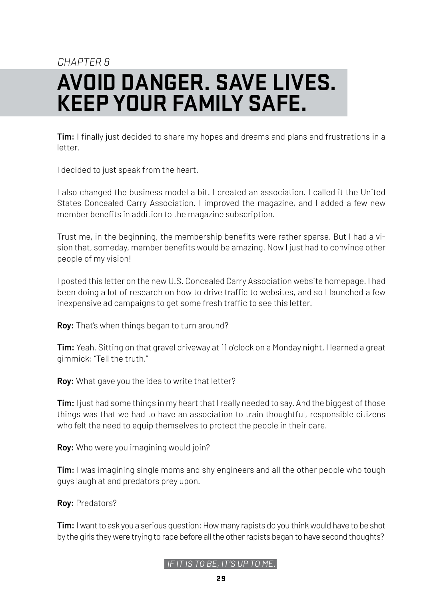### <span id="page-28-0"></span>CHAPTER<sub>R</sub> **AVOID DANGER. SAVE LIVES. KEEP YOUR FAMILY SAFE.**

**Tim:** I finally just decided to share my hopes and dreams and plans and frustrations in a letter.

I decided to just speak from the heart.

I also changed the business model a bit. I created an association. I called it the United States Concealed Carry Association. I improved the magazine, and I added a few new member benefits in addition to the magazine subscription.

Trust me, in the beginning, the membership benefits were rather sparse. But I had a vision that, someday, member benefits would be amazing. Now I just had to convince other people of my vision!

I posted this letter on the new U.S. Concealed Carry Association website homepage. I had been doing a lot of research on how to drive traffic to websites, and so I launched a few inexpensive ad campaigns to get some fresh traffic to see this letter.

**Roy:** That's when things began to turn around?

**Tim:** Yeah. Sitting on that gravel driveway at 11 o'clock on a Monday night, I learned a great gimmick: "Tell the truth."

**Roy:** What gave you the idea to write that letter?

**Tim:** I just had some things in my heart that I really needed to say. And the biggest of those things was that we had to have an association to train thoughtful, responsible citizens who felt the need to equip themselves to protect the people in their care.

**Roy:** Who were you imagining would join?

**Tim:** I was imagining single moms and shy engineers and all the other people who tough guys laugh at and predators prey upon.

**Roy:** Predators?

**Tim:** I want to ask you a serious question: How many rapists do you think would have to be shot by the girls they were trying to rape before all the other rapists began to have second thoughts?

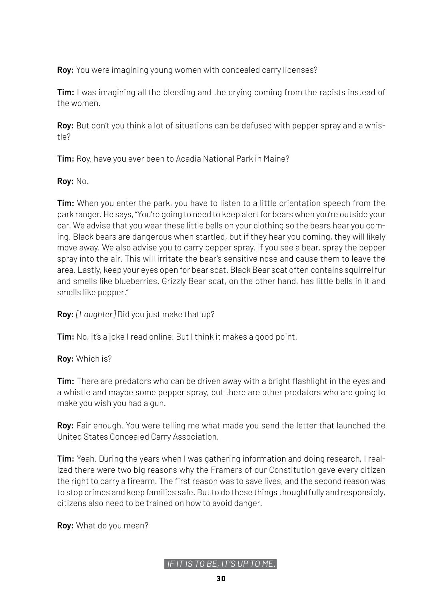**Roy:** You were imagining young women with concealed carry licenses?

**Tim:** I was imagining all the bleeding and the crying coming from the rapists instead of the women.

**Roy:** But don't you think a lot of situations can be defused with pepper spray and a whistle?

**Tim:** Roy, have you ever been to Acadia National Park in Maine?

**Roy:** No.

**Tim:** When you enter the park, you have to listen to a little orientation speech from the park ranger. He says, "You're going to need to keep alert for bears when you're outside your car. We advise that you wear these little bells on your clothing so the bears hear you coming. Black bears are dangerous when startled, but if they hear you coming, they will likely move away. We also advise you to carry pepper spray. If you see a bear, spray the pepper spray into the air. This will irritate the bear's sensitive nose and cause them to leave the area. Lastly, keep your eyes open for bear scat. Black Bear scat often contains squirrel fur and smells like blueberries. Grizzly Bear scat, on the other hand, has little bells in it and smells like pepper."

**Roy:** *[Laughter]* Did you just make that up?

**Tim:** No, it's a joke I read online. But I think it makes a good point.

**Roy:** Which is?

**Tim:** There are predators who can be driven away with a bright flashlight in the eyes and a whistle and maybe some pepper spray, but there are other predators who are going to make you wish you had a gun.

**Roy:** Fair enough. You were telling me what made you send the letter that launched the United States Concealed Carry Association.

**Tim:** Yeah. During the years when I was gathering information and doing research, I realized there were two big reasons why the Framers of our Constitution gave every citizen the right to carry a firearm. The first reason was to save lives, and the second reason was to stop crimes and keep families safe. But to do these things thoughtfully and responsibly, citizens also need to be trained on how to avoid danger.

**Roy:** What do you mean?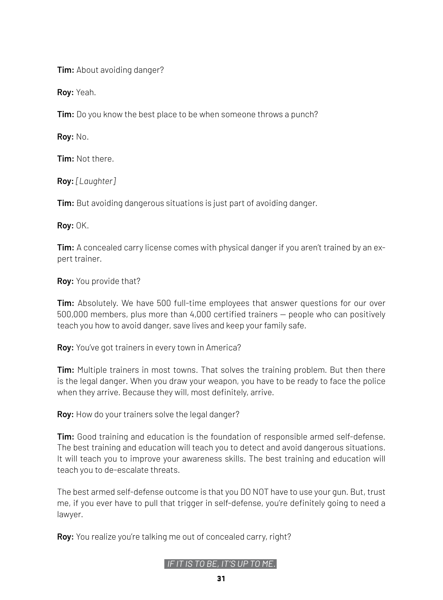**Tim:** About avoiding danger?

**Roy:** Yeah.

**Tim:** Do you know the best place to be when someone throws a punch?

**Roy:** No.

**Tim:** Not there.

**Roy:** *[Laughter]*

**Tim:** But avoiding dangerous situations is just part of avoiding danger.

**Roy:** OK.

**Tim:** A concealed carry license comes with physical danger if you aren't trained by an expert trainer.

**Roy:** You provide that?

**Tim:** Absolutely. We have 500 full-time employees that answer questions for our over 500,000 members, plus more than 4,000 certified trainers — people who can positively teach you how to avoid danger, save lives and keep your family safe.

**Roy:** You've got trainers in every town in America?

**Tim:** Multiple trainers in most towns. That solves the training problem. But then there is the legal danger. When you draw your weapon, you have to be ready to face the police when they arrive. Because they will, most definitely, arrive.

**Roy:** How do your trainers solve the legal danger?

**Tim:** Good training and education is the foundation of responsible armed self-defense. The best training and education will teach you to detect and avoid dangerous situations. It will teach you to improve your awareness skills. The best training and education will teach you to de-escalate threats.

The best armed self-defense outcome is that you DO NOT have to use your gun. But, trust me, if you ever have to pull that trigger in self-defense, you're definitely going to need a lawyer.

**Roy:** You realize you're talking me out of concealed carry, right?

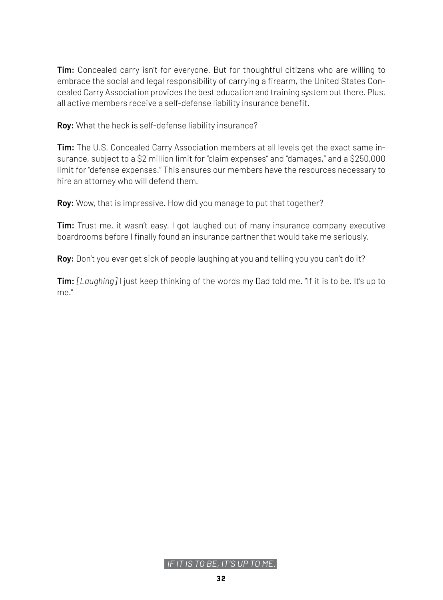**Tim:** Concealed carry isn't for everyone. But for thoughtful citizens who are willing to embrace the social and legal responsibility of carrying a firearm, the United States Concealed Carry Association provides the best education and training system out there. Plus, all active members receive a self-defense liability insurance benefit.

**Roy:** What the heck is self-defense liability insurance?

**Tim:** The U.S. Concealed Carry Association members at all levels get the exact same insurance, subject to a \$2 million limit for "claim expenses" and "damages," and a \$250,000 limit for "defense expenses." This ensures our members have the resources necessary to hire an attorney who will defend them.

**Roy:** Wow, that is impressive. How did you manage to put that together?

**Tim:** Trust me, it wasn't easy. I got laughed out of many insurance company executive boardrooms before I finally found an insurance partner that would take me seriously.

**Roy:** Don't you ever get sick of people laughing at you and telling you you can't do it?

**Tim:** *[Laughing]* I just keep thinking of the words my Dad told me. "If it is to be. It's up to me."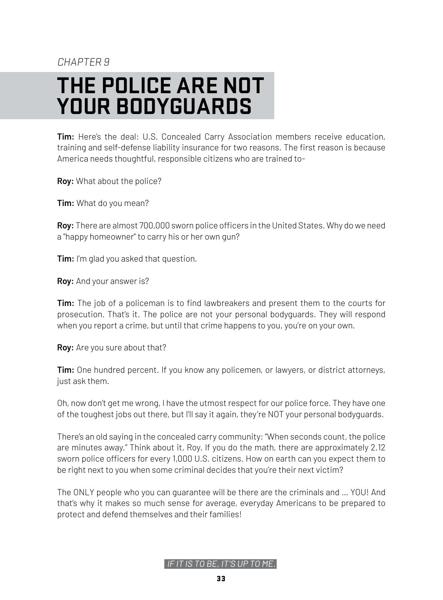### CHAPTER<sub>9</sub>

# <span id="page-32-0"></span>**THE POLICE ARE NOT YOUR BODYGUARDS**

**Tim:** Here's the deal: U.S. Concealed Carry Association members receive education, training and self-defense liability insurance for two reasons. The first reason is because America needs thoughtful, responsible citizens who are trained to-

**Roy:** What about the police?

**Tim:** What do you mean?

**Roy:** There are almost 700,000 sworn police officers in the United States. Why do we need a "happy homeowner" to carry his or her own gun?

**Tim:** I'm glad you asked that question.

**Roy:** And your answer is?

**Tim:** The job of a policeman is to find lawbreakers and present them to the courts for prosecution. That's it. The police are not your personal bodyguards. They will respond when you report a crime, but until that crime happens to you, you're on your own.

**Roy:** Are you sure about that?

**Tim:** One hundred percent. If you know any policemen, or lawyers, or district attorneys, just ask them.

Oh, now don't get me wrong, I have the utmost respect for our police force. They have one of the toughest jobs out there, but I'll say it again, they're NOT your personal bodyguards.

There's an old saying in the concealed carry community: "When seconds count, the police are minutes away." Think about it, Roy. If you do the math, there are approximately 2.12 sworn police officers for every 1,000 U.S. citizens. How on earth can you expect them to be right next to you when some criminal decides that you're their next victim?

The ONLY people who you can guarantee will be there are the criminals and … YOU! And that's why it makes so much sense for average, everyday Americans to be prepared to protect and defend themselves and their families!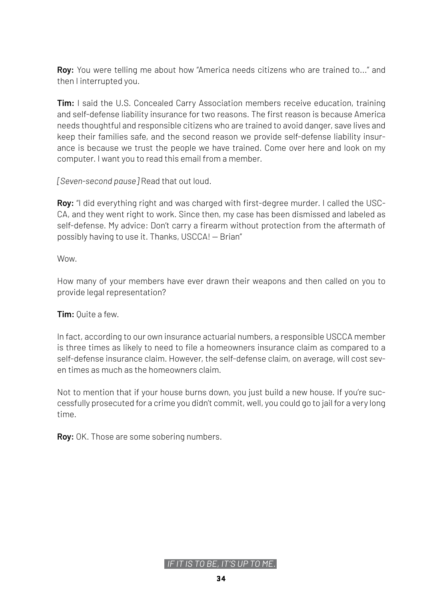**Roy:** You were telling me about how "America needs citizens who are trained to..." and then I interrupted you.

**Tim:** I said the U.S. Concealed Carry Association members receive education, training and self-defense liability insurance for two reasons. The first reason is because America needs thoughtful and responsible citizens who are trained to avoid danger, save lives and keep their families safe, and the second reason we provide self-defense liability insurance is because we trust the people we have trained. Come over here and look on my computer. I want you to read this email from a member.

*[Seven-second pause]* Read that out loud.

**Roy:** "I did everything right and was charged with first-degree murder. I called the USC-CA, and they went right to work. Since then, my case has been dismissed and labeled as self-defense. My advice: Don't carry a firearm without protection from the aftermath of possibly having to use it. Thanks, USCCA! — Brian"

Wow.

How many of your members have ever drawn their weapons and then called on you to provide legal representation?

**Tim:** Quite a few.

In fact, according to our own insurance actuarial numbers, a responsible USCCA member is three times as likely to need to file a homeowners insurance claim as compared to a self-defense insurance claim. However, the self-defense claim, on average, will cost seven times as much as the homeowners claim.

Not to mention that if your house burns down, you just build a new house. If you're successfully prosecuted for a crime you didn't commit, well, you could go to jail for a very long time.

**Roy:** OK. Those are some sobering numbers.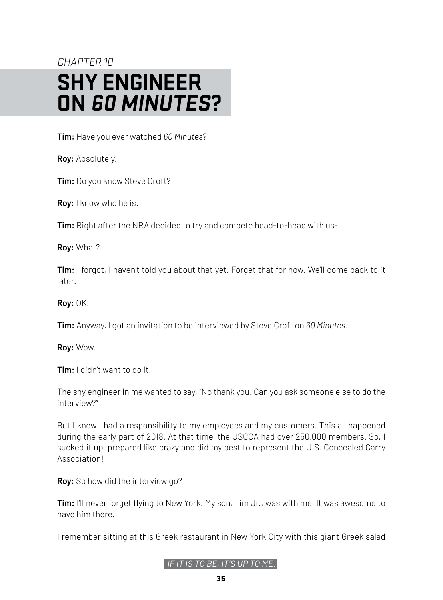### <span id="page-34-0"></span>CHAPTER<sub>10</sub> **SHY ENGINEER ON 60 MINUTES?**

**Tim:** Have you ever watched *60 Minutes*?

**Roy:** Absolutely.

**Tim:** Do you know Steve Croft?

**Roy:** I know who he is.

**Tim:** Right after the NRA decided to try and compete head-to-head with us-

**Roy:** What?

**Tim:** I forgot, I haven't told you about that yet. Forget that for now. We'll come back to it later.

**Roy:** OK.

**Tim:** Anyway, I got an invitation to be interviewed by Steve Croft on *60 Minutes.*

**Roy:** Wow.

**Tim:** I didn't want to do it.

The shy engineer in me wanted to say, "No thank you. Can you ask someone else to do the interview?"

But I knew I had a responsibility to my employees and my customers. This all happened during the early part of 2018. At that time, the USCCA had over 250,000 members. So, I sucked it up, prepared like crazy and did my best to represent the U.S. Concealed Carry Association!

**Roy:** So how did the interview go?

**Tim:** I'll never forget flying to New York. My son, Tim Jr., was with me. It was awesome to have him there.

I remember sitting at this Greek restaurant in New York City with this giant Greek salad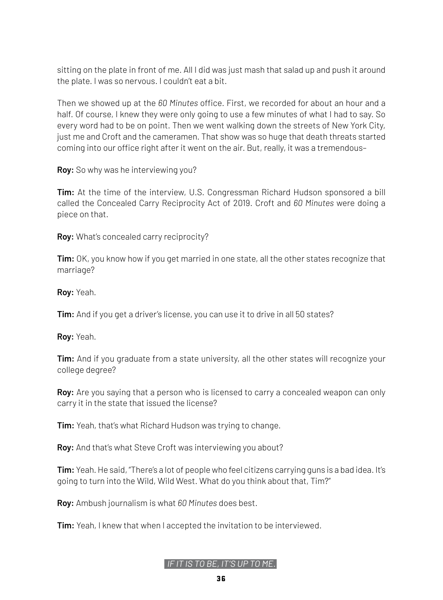sitting on the plate in front of me. All I did was just mash that salad up and push it around the plate. I was so nervous. I couldn't eat a bit.

Then we showed up at the *60 Minutes* office. First, we recorded for about an hour and a half. Of course, I knew they were only going to use a few minutes of what I had to say. So every word had to be on point. Then we went walking down the streets of New York City, just me and Croft and the cameramen. That show was so huge that death threats started coming into our office right after it went on the air. But, really, it was a tremendous–

**Roy:** So why was he interviewing you?

**Tim:** At the time of the interview, U.S. Congressman Richard Hudson sponsored a bill called the Concealed Carry Reciprocity Act of 2019. Croft and *60 Minutes* were doing a piece on that.

**Roy:** What's concealed carry reciprocity?

**Tim:** OK, you know how if you get married in one state, all the other states recognize that marriage?

**Roy:** Yeah.

**Tim:** And if you get a driver's license, you can use it to drive in all 50 states?

**Roy:** Yeah.

**Tim:** And if you graduate from a state university, all the other states will recognize your college degree?

**Roy:** Are you saying that a person who is licensed to carry a concealed weapon can only carry it in the state that issued the license?

**Tim:** Yeah, that's what Richard Hudson was trying to change.

**Roy:** And that's what Steve Croft was interviewing you about?

**Tim:** Yeah. He said, "There's a lot of people who feel citizens carrying guns is a bad idea. It's going to turn into the Wild, Wild West. What do you think about that, Tim?"

**Roy:** Ambush journalism is what *60 Minutes* does best.

**Tim:** Yeah, I knew that when I accepted the invitation to be interviewed.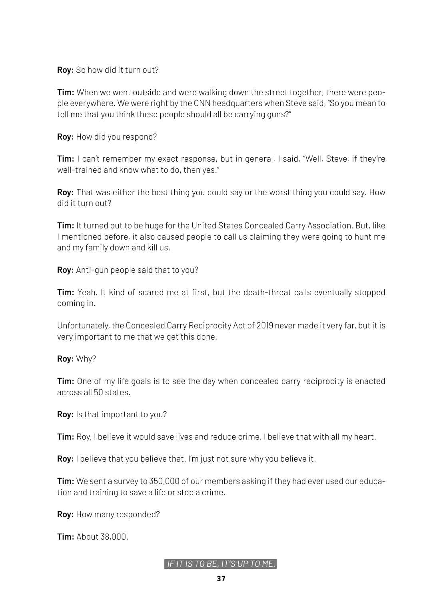#### **Roy:** So how did it turn out?

**Tim:** When we went outside and were walking down the street together, there were people everywhere. We were right by the CNN headquarters when Steve said, "So you mean to tell me that you think these people should all be carrying guns?"

**Roy:** How did you respond?

**Tim:** I can't remember my exact response, but in general, I said, "Well, Steve, if they're well-trained and know what to do, then yes."

**Roy:** That was either the best thing you could say or the worst thing you could say. How did it turn out?

**Tim:** It turned out to be huge for the United States Concealed Carry Association. But, like I mentioned before, it also caused people to call us claiming they were going to hunt me and my family down and kill us.

**Roy:** Anti-gun people said that to you?

**Tim:** Yeah. It kind of scared me at first, but the death-threat calls eventually stopped coming in.

Unfortunately, the Concealed Carry Reciprocity Act of 2019 never made it very far, but it is very important to me that we get this done.

#### **Roy:** Why?

**Tim:** One of my life goals is to see the day when concealed carry reciprocity is enacted across all 50 states.

**Roy:** Is that important to you?

**Tim:** Roy, I believe it would save lives and reduce crime. I believe that with all my heart.

**Roy:** I believe that you believe that. I'm just not sure why you believe it.

**Tim:** We sent a survey to 350,000 of our members asking if they had ever used our education and training to save a life or stop a crime.

**Roy:** How many responded?

**Tim:** About 38,000.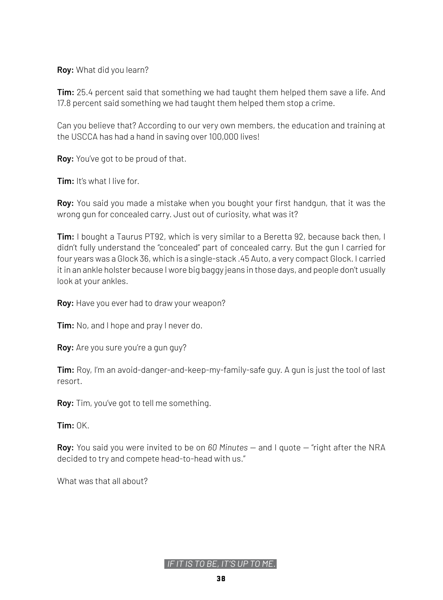**Roy:** What did you learn?

**Tim:** 25.4 percent said that something we had taught them helped them save a life. And 17.8 percent said something we had taught them helped them stop a crime.

Can you believe that? According to our very own members, the education and training at the USCCA has had a hand in saving over 100,000 lives!

**Roy:** You've got to be proud of that.

**Tim:** It's what I live for.

**Roy:** You said you made a mistake when you bought your first handgun, that it was the wrong gun for concealed carry. Just out of curiosity, what was it?

**Tim:** I bought a Taurus PT92, which is very similar to a Beretta 92, because back then, I didn't fully understand the "concealed" part of concealed carry. But the gun I carried for four years was a Glock 36, which is a single-stack .45 Auto, a very compact Glock. I carried it in an ankle holster because I wore big baggy jeans in those days, and people don't usually look at your ankles.

**Roy:** Have you ever had to draw your weapon?

**Tim:** No, and I hope and pray I never do.

**Roy:** Are you sure you're a gun guy?

**Tim:** Roy, I'm an avoid-danger-and-keep-my-family-safe guy. A gun is just the tool of last resort.

**Roy:** Tim, you've got to tell me something.

**Tim:** OK.

**Roy:** You said you were invited to be on *60 Minutes* — and I quote — "right after the NRA decided to try and compete head-to-head with us."

What was that all about?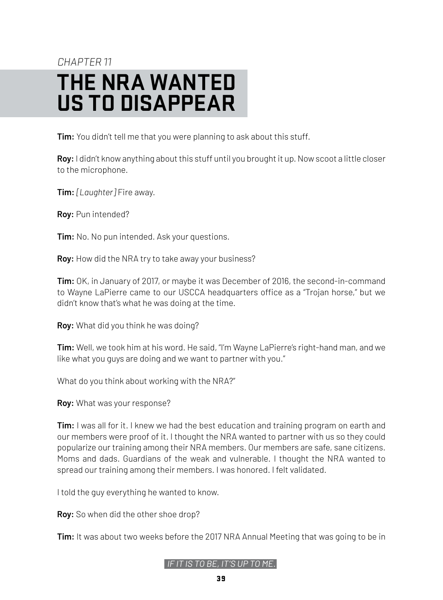### <span id="page-38-0"></span>CHAPTER 11 **THE NRA WANTED US TO DISAPPEAR**

**Tim:** You didn't tell me that you were planning to ask about this stuff.

**Roy:** I didn't know anything about this stuff until you brought it up. Now scoot a little closer to the microphone.

**Tim:** *[Laughter]* Fire away.

**Roy:** Pun intended?

**Tim:** No. No pun intended. Ask your questions.

**Roy:** How did the NRA try to take away your business?

**Tim:** OK, in January of 2017, or maybe it was December of 2016, the second-in-command to Wayne LaPierre came to our USCCA headquarters office as a "Trojan horse," but we didn't know that's what he was doing at the time.

**Roy:** What did you think he was doing?

**Tim:** Well, we took him at his word. He said, "I'm Wayne LaPierre's right-hand man, and we like what you guys are doing and we want to partner with you."

What do you think about working with the NRA?"

**Roy:** What was your response?

**Tim:** I was all for it. I knew we had the best education and training program on earth and our members were proof of it. I thought the NRA wanted to partner with us so they could popularize our training among their NRA members. Our members are safe, sane citizens. Moms and dads. Guardians of the weak and vulnerable. I thought the NRA wanted to spread our training among their members. I was honored. I felt validated.

I told the guy everything he wanted to know.

**Roy:** So when did the other shoe drop?

**Tim:** It was about two weeks before the 2017 NRA Annual Meeting that was going to be in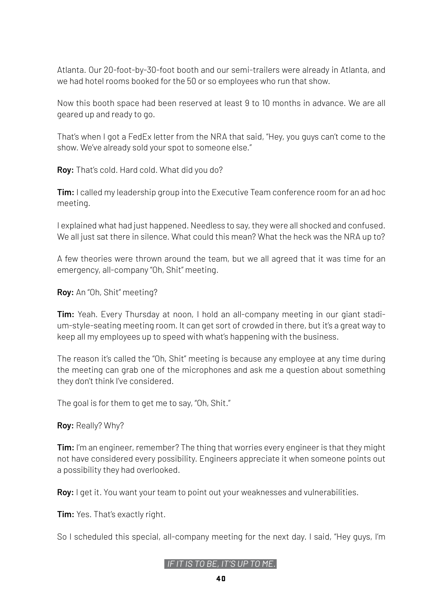Atlanta. Our 20-foot-by-30-foot booth and our semi-trailers were already in Atlanta, and we had hotel rooms booked for the 50 or so employees who run that show.

Now this booth space had been reserved at least 9 to 10 months in advance. We are all geared up and ready to go.

That's when I got a FedEx letter from the NRA that said, "Hey, you guys can't come to the show. We've already sold your spot to someone else."

**Roy:** That's cold. Hard cold. What did you do?

**Tim:** I called my leadership group into the Executive Team conference room for an ad hoc meeting.

I explained what had just happened. Needless to say, they were all shocked and confused. We all just sat there in silence. What could this mean? What the heck was the NRA up to?

A few theories were thrown around the team, but we all agreed that it was time for an emergency, all-company "Oh, Shit" meeting.

**Roy:** An "Oh, Shit" meeting?

**Tim:** Yeah. Every Thursday at noon, I hold an all-company meeting in our giant stadium-style-seating meeting room. It can get sort of crowded in there, but it's a great way to keep all my employees up to speed with what's happening with the business.

The reason it's called the "Oh, Shit" meeting is because any employee at any time during the meeting can grab one of the microphones and ask me a question about something they don't think I've considered.

The goal is for them to get me to say, "Oh, Shit."

**Roy:** Really? Why?

**Tim:** I'm an engineer, remember? The thing that worries every engineer is that they might not have considered every possibility. Engineers appreciate it when someone points out a possibility they had overlooked.

**Roy:** I get it. You want your team to point out your weaknesses and vulnerabilities.

**Tim:** Yes. That's exactly right.

So I scheduled this special, all-company meeting for the next day. I said, "Hey guys, I'm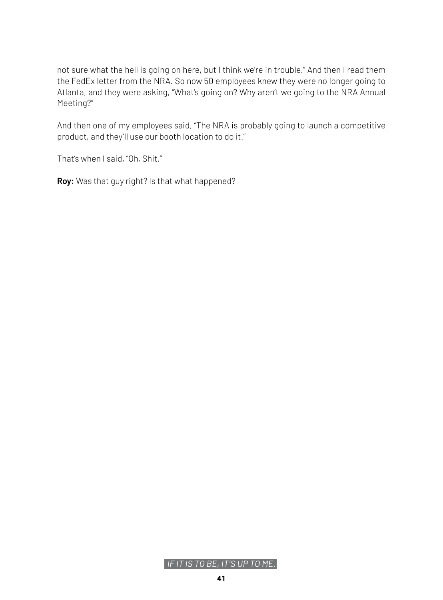not sure what the hell is going on here, but I think we're in trouble." And then I read them the FedEx letter from the NRA. So now 50 employees knew they were no longer going to Atlanta, and they were asking, "What's going on? Why aren't we going to the NRA Annual Meeting?"

And then one of my employees said, "The NRA is probably going to launch a competitive product, and they'll use our booth location to do it."

That's when I said, "Oh, Shit."

**Roy:** Was that guy right? Is that what happened?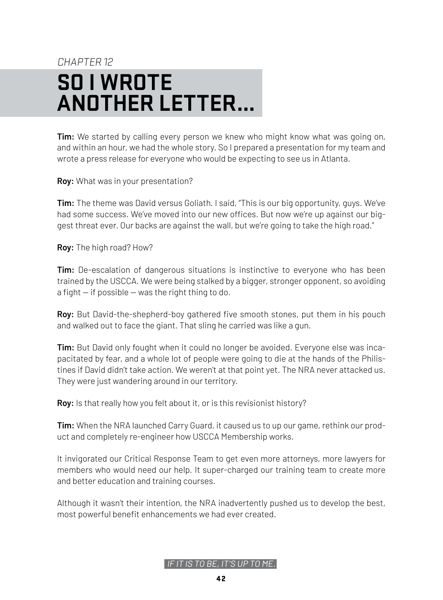# <span id="page-41-0"></span>CHAPTER 12 **SO I WROTE ANOTHER LETTER...**

**Tim:** We started by calling every person we knew who might know what was going on, and within an hour, we had the whole story. So I prepared a presentation for my team and wrote a press release for everyone who would be expecting to see us in Atlanta.

**Roy:** What was in your presentation?

**Tim:** The theme was David versus Goliath. I said, "This is our big opportunity, guys. We've had some success. We've moved into our new offices. But now we're up against our biggest threat ever. Our backs are against the wall, but we're going to take the high road."

**Roy:** The high road? How?

**Tim:** De-escalation of dangerous situations is instinctive to everyone who has been trained by the USCCA. We were being stalked by a bigger, stronger opponent, so avoiding a fight  $-$  if possible  $-$  was the right thing to do.

**Roy:** But David-the-shepherd-boy gathered five smooth stones, put them in his pouch and walked out to face the giant. That sling he carried was like a gun.

**Tim:** But David only fought when it could no longer be avoided. Everyone else was incapacitated by fear, and a whole lot of people were going to die at the hands of the Philistines if David didn't take action. We weren't at that point yet. The NRA never attacked us. They were just wandering around in our territory.

**Roy:** Is that really how you felt about it, or is this revisionist history?

**Tim:** When the NRA launched Carry Guard, it caused us to up our game, rethink our product and completely re-engineer how USCCA Membership works.

It invigorated our Critical Response Team to get even more attorneys, more lawyers for members who would need our help. It super-charged our training team to create more and better education and training courses.

Although it wasn't their intention, the NRA inadvertently pushed us to develop the best, most powerful benefit enhancements we had ever created.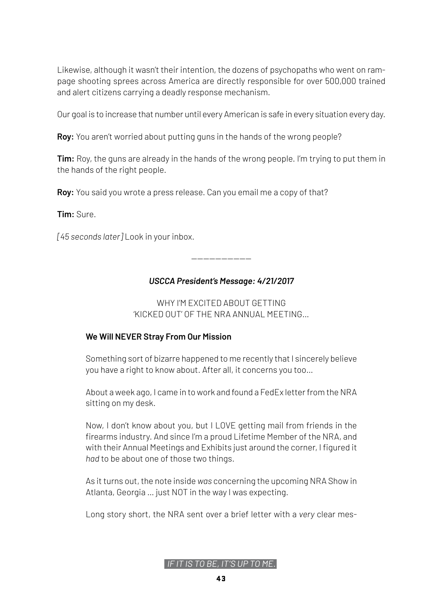Likewise, although it wasn't their intention, the dozens of psychopaths who went on rampage shooting sprees across America are directly responsible for over 500,000 trained and alert citizens carrying a deadly response mechanism.

Our goal is to increase that number until every American is safe in every situation every day.

**Roy:** You aren't worried about putting guns in the hands of the wrong people?

**Tim:** Roy, the guns are already in the hands of the wrong people. I'm trying to put them in the hands of the right people.

**Roy:** You said you wrote a press release. Can you email me a copy of that?

**Tim:** Sure.

*[45 seconds later]* Look in your inbox.

-------------------- *USCCA President's Message: 4/21/2017*

WHY I'M EXCITED ABOUT GETTING 'KICKED OUT' OF THE NRA ANNUAL MEETING…

### **We Will NEVER Stray From Our Mission**

Something sort of bizarre happened to me recently that I sincerely believe you have a right to know about. After all, it concerns you too…

About a week ago, I came in to work and found a FedEx letter from the NRA sitting on my desk.

Now, I don't know about you, but I LOVE getting mail from friends in the firearms industry. And since I'm a proud Lifetime Member of the NRA, and with their Annual Meetings and Exhibits just around the corner, I figured it *had* to be about one of those two things.

As it turns out, the note inside *was* concerning the upcoming NRA Show in Atlanta, Georgia … just NOT in the way I was expecting.

Long story short, the NRA sent over a brief letter with a *very* clear mes-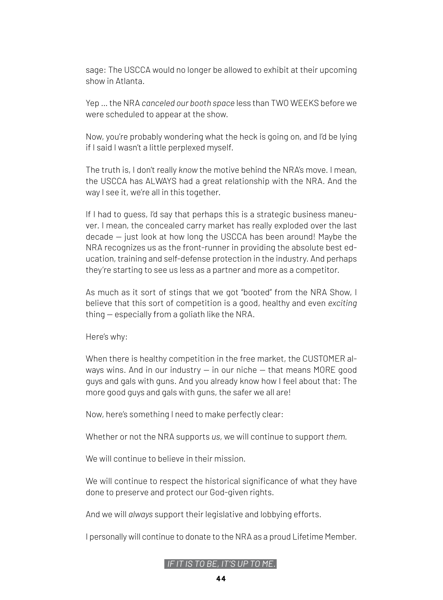sage: The USCCA would no longer be allowed to exhibit at their upcoming show in Atlanta.

Yep … the NRA *canceled our booth space* less than TWO WEEKS before we were scheduled to appear at the show.

Now, you're probably wondering what the heck is going on, and I'd be lying if I said I wasn't a little perplexed myself.

The truth is, I don't really *know* the motive behind the NRA's move. I mean, the USCCA has ALWAYS had a great relationship with the NRA. And the way I see it, we're all in this together.

If I had to quess, I'd say that perhaps this is a strategic business maneuver. I mean, the concealed carry market has really exploded over the last decade — just look at how long the USCCA has been around! Maybe the NRA recognizes us as the front-runner in providing the absolute best education, training and self-defense protection in the industry. And perhaps they're starting to see us less as a partner and more as a competitor.

As much as it sort of stings that we got "booted" from the NRA Show, I believe that this sort of competition is a good, healthy and even *exciting* thing — especially from a goliath like the NRA.

Here's why:

When there is healthy competition in the free market, the CUSTOMER always wins. And in our industry  $-$  in our niche  $-$  that means MORE good guys and gals with guns. And you already know how I feel about that: The more good guys and gals with guns, the safer we all are!

Now, here's something I need to make perfectly clear:

Whether or not the NRA supports *us,* we will continue to support *them.*

We will continue to believe in their mission.

We will continue to respect the historical significance of what they have done to preserve and protect our God-given rights.

And we will *always* support their legislative and lobbying efforts.

I personally will continue to donate to the NRA as a proud Lifetime Member.

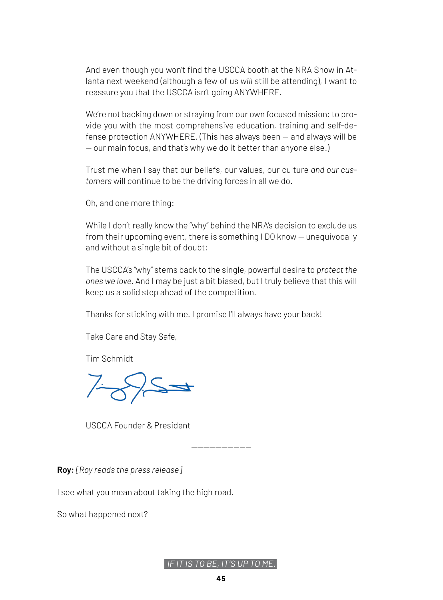And even though you won't find the USCCA booth at the NRA Show in Atlanta next weekend (although a few of us *will* still be attending), I want to reassure you that the USCCA isn't going ANYWHERE.

We're not backing down or straying from our own focused mission: to provide you with the most comprehensive education, training and self-defense protection ANYWHERE. (This has always been — and always will be — our main focus, and that's why we do it better than anyone else!)

Trust me when I say that our beliefs, our values, our culture *and our customers* will continue to be the driving forces in all we do.

Oh, and one more thing:

While I don't really know the "why" behind the NRA's decision to exclude us from their upcoming event, there is something I DO know — unequivocally and without a single bit of doubt:

The USCCA's "why" stems back to the single, powerful desire to *protect the ones we love.* And I may be just a bit biased, but I truly believe that this will keep us a solid step ahead of the competition.

Thanks for sticking with me. I promise I'll always have your back!

Take Care and Stay Safe,

Tim Schmidt

USCCA Founder & President

**Roy:** *[Roy reads the press release]*

I see what you mean about taking the high road.

So what happened next?

--------------------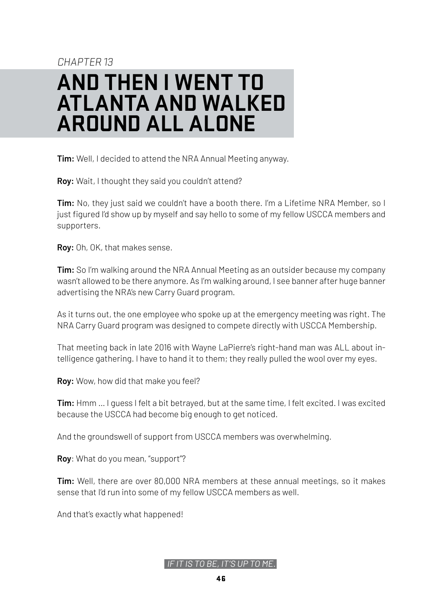# <span id="page-45-0"></span>CHAPTER 13 **AND THEN I WENT TO ATLANTA AND WALKED AROUND ALL ALONE**

**Tim:** Well, I decided to attend the NRA Annual Meeting anyway.

**Roy:** Wait, I thought they said you couldn't attend?

**Tim:** No, they just said we couldn't have a booth there. I'm a Lifetime NRA Member, so I just figured I'd show up by myself and say hello to some of my fellow USCCA members and supporters.

**Roy:** Oh, OK, that makes sense.

**Tim:** So I'm walking around the NRA Annual Meeting as an outsider because my company wasn't allowed to be there anymore. As I'm walking around, I see banner after huge banner advertising the NRA's new Carry Guard program.

As it turns out, the one employee who spoke up at the emergency meeting was right. The NRA Carry Guard program was designed to compete directly with USCCA Membership.

That meeting back in late 2016 with Wayne LaPierre's right-hand man was ALL about intelligence gathering. I have to hand it to them; they really pulled the wool over my eyes.

**Roy:** Wow, how did that make you feel?

**Tim:** Hmm … I guess I felt a bit betrayed, but at the same time, I felt excited. I was excited because the USCCA had become big enough to get noticed.

And the groundswell of support from USCCA members was overwhelming.

**Roy**: What do you mean, "support"?

**Tim:** Well, there are over 80,000 NRA members at these annual meetings, so it makes sense that I'd run into some of my fellow USCCA members as well.

And that's exactly what happened!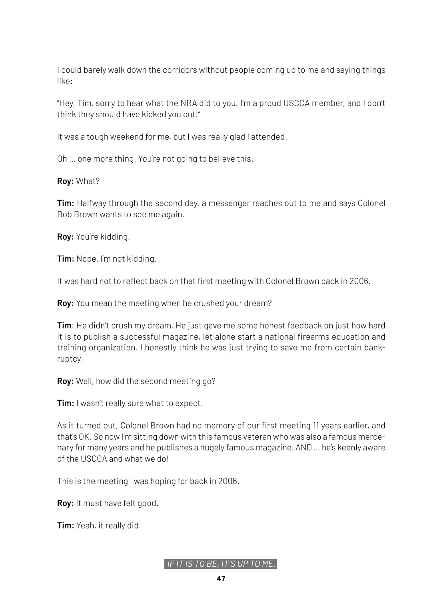I could barely walk down the corridors without people coming up to me and saying things like:

"Hey, Tim, sorry to hear what the NRA did to you. I'm a proud USCCA member, and I don't think they should have kicked you out!"

It was a tough weekend for me, but I was really glad I attended.

Oh … one more thing. You're not going to believe this.

**Roy:** What?

**Tim:** Halfway through the second day, a messenger reaches out to me and says Colonel Bob Brown wants to see me again.

**Roy:** You're kidding.

**Tim:** Nope. I'm not kidding.

It was hard not to reflect back on that first meeting with Colonel Brown back in 2006.

**Roy:** You mean the meeting when he crushed your dream?

**Tim**: He didn't crush my dream. He just gave me some honest feedback on just how hard it is to publish a successful magazine, let alone start a national firearms education and training organization. I honestly think he was just trying to save me from certain bankruptcy.

**Roy:** Well, how did the second meeting go?

**Tim:** I wasn't really sure what to expect.

As it turned out, Colonel Brown had no memory of our first meeting 11 years earlier, and that's OK. So now I'm sitting down with this famous veteran who was also a famous mercenary for many years and he publishes a hugely famous magazine. AND … he's keenly aware of the USCCA and what we do!

This is the meeting I was hoping for back in 2006.

**Roy:** It must have felt good.

**Tim:** Yeah, it really did.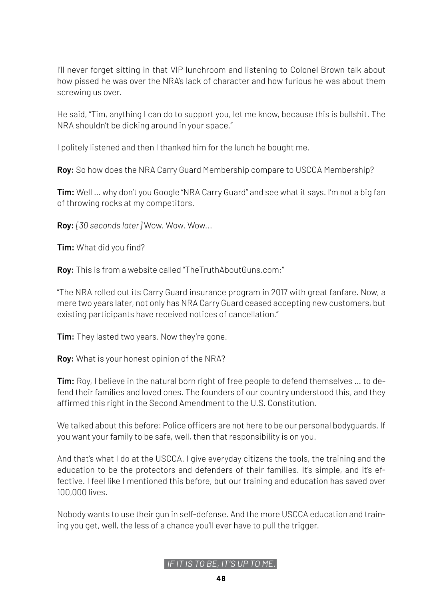I'll never forget sitting in that VIP lunchroom and listening to Colonel Brown talk about how pissed he was over the NRA's lack of character and how furious he was about them screwing us over.

He said, "Tim, anything I can do to support you, let me know, because this is bullshit. The NRA shouldn't be dicking around in your space."

I politely listened and then I thanked him for the lunch he bought me.

**Roy:** So how does the NRA Carry Guard Membership compare to USCCA Membership?

**Tim:** Well … why don't you Google "NRA Carry Guard" and see what it says. I'm not a big fan of throwing rocks at my competitors.

**Roy:** *[30 seconds later]* Wow. Wow. Wow...

**Tim:** What did you find?

**Roy:** This is from a website called "TheTruthAboutGuns.com:"

"The NRA rolled out its Carry Guard insurance program in 2017 with great fanfare. Now, a mere two years later, not only has NRA Carry Guard ceased accepting new customers, but existing participants have received notices of cancellation."

**Tim:** They lasted two years. Now they're gone.

**Roy:** What is your honest opinion of the NRA?

**Tim:** Roy, I believe in the natural born right of free people to defend themselves … to defend their families and loved ones. The founders of our country understood this, and they affirmed this right in the Second Amendment to the U.S. Constitution.

We talked about this before: Police officers are not here to be our personal bodyguards. If you want your family to be safe, well, then that responsibility is on you.

And that's what I do at the USCCA. I give everyday citizens the tools, the training and the education to be the protectors and defenders of their families. It's simple, and it's effective. I feel like I mentioned this before, but our training and education has saved over 100,000 lives.

Nobody wants to use their gun in self-defense. And the more USCCA education and training you get, well, the less of a chance you'll ever have to pull the trigger.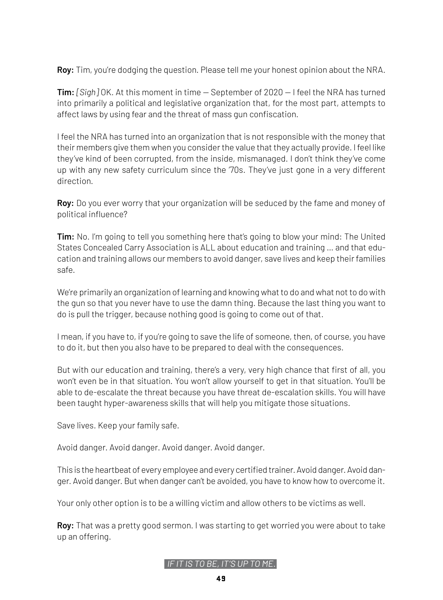**Roy:** Tim, you're dodging the question. Please tell me your honest opinion about the NRA.

**Tim:** *[Sigh]* OK. At this moment in time — September of 2020 — I feel the NRA has turned into primarily a political and legislative organization that, for the most part, attempts to affect laws by using fear and the threat of mass gun confiscation.

I feel the NRA has turned into an organization that is not responsible with the money that their members give them when you consider the value that they actually provide. I feel like they've kind of been corrupted, from the inside, mismanaged. I don't think they've come up with any new safety curriculum since the '70s. They've just gone in a very different direction.

**Roy:** Do you ever worry that your organization will be seduced by the fame and money of political influence?

**Tim:** No. I'm going to tell you something here that's going to blow your mind: The United States Concealed Carry Association is ALL about education and training … and that education and training allows our members to avoid danger, save lives and keep their families safe.

We're primarily an organization of learning and knowing what to do and what not to do with the gun so that you never have to use the damn thing. Because the last thing you want to do is pull the trigger, because nothing good is going to come out of that.

I mean, if you have to, if you're going to save the life of someone, then, of course, you have to do it, but then you also have to be prepared to deal with the consequences.

But with our education and training, there's a very, very high chance that first of all, you won't even be in that situation. You won't allow yourself to get in that situation. You'll be able to de-escalate the threat because you have threat de-escalation skills. You will have been taught hyper-awareness skills that will help you mitigate those situations.

Save lives. Keep your family safe.

Avoid danger. Avoid danger. Avoid danger. Avoid danger.

This is the heartbeat of every employee and every certified trainer. Avoid danger. Avoid danger. Avoid danger. But when danger can't be avoided, you have to know how to overcome it.

Your only other option is to be a willing victim and allow others to be victims as well.

**Roy:** That was a pretty good sermon. I was starting to get worried you were about to take up an offering.

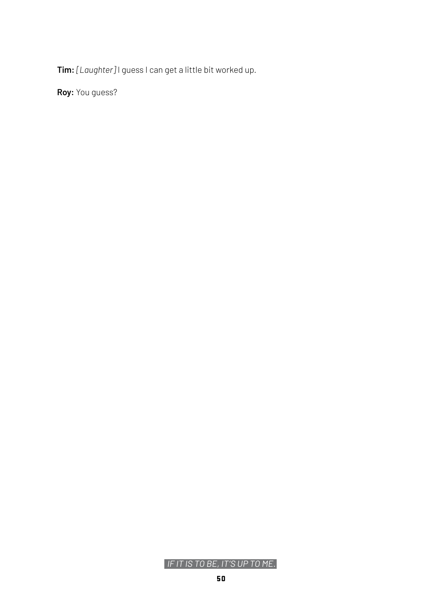**Tim:** *[Laughter]* I guess I can get a little bit worked up.

**Roy:** You guess?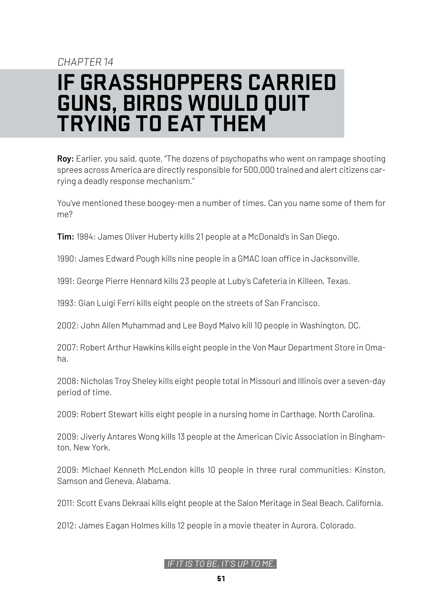### <span id="page-50-0"></span>CHAPTER 14 **IF GRASSHOPPERS CARRIED GUNS, BIRDS WOULD QUIT TRYING TO EAT THEM**

**Roy:** Earlier, you said, quote, "The dozens of psychopaths who went on rampage shooting sprees across America are directly responsible for 500,000 trained and alert citizens carrying a deadly response mechanism."

You've mentioned these boogey-men a number of times. Can you name some of them for me?

**Tim:** 1984: James Oliver Huberty kills 21 people at a McDonald's in San Diego.

1990: James Edward Pough kills nine people in a GMAC loan office in Jacksonville.

1991: George Pierre Hennard kills 23 people at Luby's Cafeteria in Killeen, Texas.

1993: Gian Luigi Ferri kills eight people on the streets of San Francisco.

2002: John Allen Muhammad and Lee Boyd Malvo kill 10 people in Washington, DC.

2007: Robert Arthur Hawkins kills eight people in the Von Maur Department Store in Omaha.

2008: Nicholas Troy Sheley kills eight people total in Missouri and Illinois over a seven-day period of time.

2009: Robert Stewart kills eight people in a nursing home in Carthage, North Carolina.

2009: Jiverly Antares Wong kills 13 people at the American Civic Association in Binghamton, New York.

2009: Michael Kenneth McLendon kills 10 people in three rural communities: Kinston, Samson and Geneva, Alabama.

2011: Scott Evans Dekraai kills eight people at the Salon Meritage in Seal Beach, California.

2012: James Eagan Holmes kills 12 people in a movie theater in Aurora, Colorado.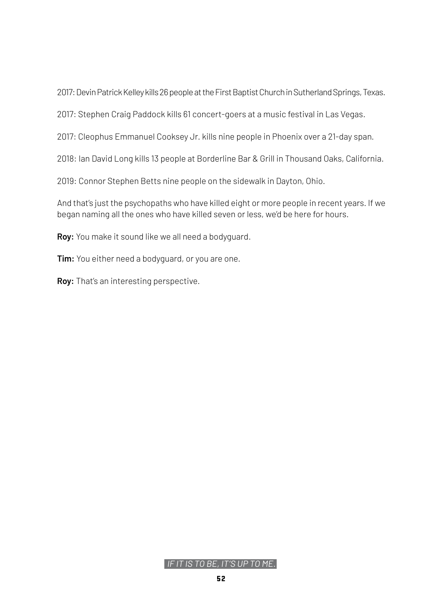2017: Devin Patrick Kelley kills 26 people at the First Baptist Church in Sutherland Springs, Texas.

2017: Stephen Craig Paddock kills 61 concert-goers at a music festival in Las Vegas.

2017: Cleophus Emmanuel Cooksey Jr. kills nine people in Phoenix over a 21-day span.

2018: Ian David Long kills 13 people at Borderline Bar & Grill in Thousand Oaks, California.

2019: Connor Stephen Betts nine people on the sidewalk in Dayton, Ohio.

And that's just the psychopaths who have killed eight or more people in recent years. If we began naming all the ones who have killed seven or less, we'd be here for hours.

**Roy:** You make it sound like we all need a bodyguard.

**Tim:** You either need a bodyguard, or you are one.

**Roy:** That's an interesting perspective.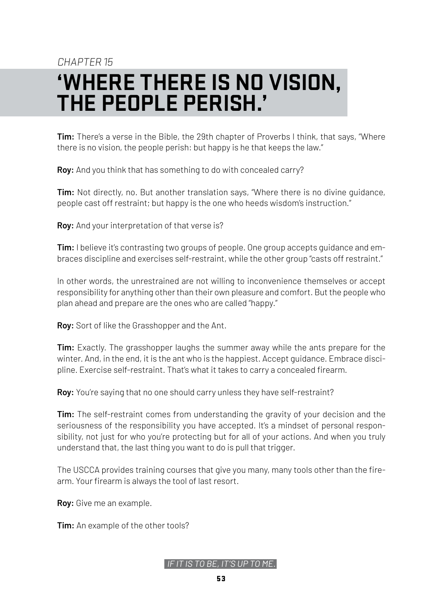### CHAPTER 15

# <span id="page-52-0"></span>**'WHERE THERE IS NO VISION, THE PEOPLE PERISH.'**

**Tim:** There's a verse in the Bible, the 29th chapter of Proverbs I think, that says, "Where there is no vision, the people perish: but happy is he that keeps the law."

**Roy:** And you think that has something to do with concealed carry?

**Tim:** Not directly, no. But another translation says, "Where there is no divine guidance, people cast off restraint; but happy is the one who heeds wisdom's instruction."

**Roy:** And your interpretation of that verse is?

**Tim:** I believe it's contrasting two groups of people. One group accepts guidance and embraces discipline and exercises self-restraint, while the other group "casts off restraint."

In other words, the unrestrained are not willing to inconvenience themselves or accept responsibility for anything other than their own pleasure and comfort. But the people who plan ahead and prepare are the ones who are called "happy."

**Roy:** Sort of like the Grasshopper and the Ant.

**Tim:** Exactly. The grasshopper laughs the summer away while the ants prepare for the winter. And, in the end, it is the ant who is the happiest. Accept guidance. Embrace discipline. Exercise self-restraint. That's what it takes to carry a concealed firearm.

**Roy:** You're saying that no one should carry unless they have self-restraint?

**Tim:** The self-restraint comes from understanding the gravity of your decision and the seriousness of the responsibility you have accepted. It's a mindset of personal responsibility, not just for who you're protecting but for all of your actions. And when you truly understand that, the last thing you want to do is pull that trigger.

The USCCA provides training courses that give you many, many tools other than the firearm. Your firearm is always the tool of last resort.

**Roy:** Give me an example.

**Tim:** An example of the other tools?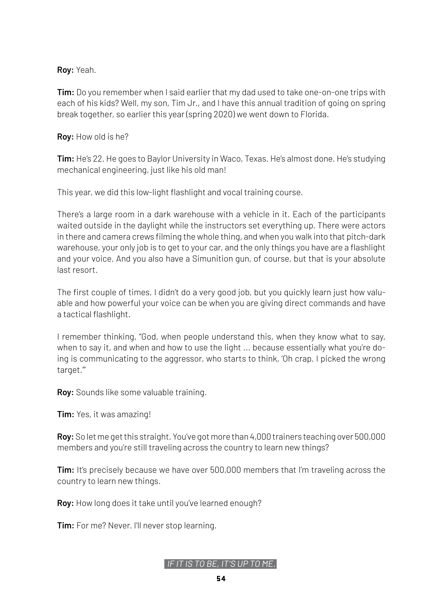**Roy:** Yeah.

**Tim:** Do you remember when I said earlier that my dad used to take one-on-one trips with each of his kids? Well, my son, Tim Jr., and I have this annual tradition of going on spring break together, so earlier this year (spring 2020) we went down to Florida.

**Roy:** How old is he?

**Tim:** He's 22. He goes to Baylor University in Waco, Texas. He's almost done. He's studying mechanical engineering, just like his old man!

This year, we did this low-light flashlight and vocal training course.

There's a large room in a dark warehouse with a vehicle in it. Each of the participants waited outside in the daylight while the instructors set everything up. There were actors in there and camera crews filming the whole thing, and when you walk into that pitch-dark warehouse, your only job is to get to your car, and the only things you have are a flashlight and your voice. And you also have a Simunition gun, of course, but that is your absolute last resort.

The first couple of times, I didn't do a very good job, but you quickly learn just how valuable and how powerful your voice can be when you are giving direct commands and have a tactical flashlight.

I remember thinking, "God, when people understand this, when they know what to say, when to say it, and when and how to use the light ... because essentially what you're doing is communicating to the aggressor, who starts to think, 'Oh crap. I picked the wrong target.'"

**Roy:** Sounds like some valuable training.

**Tim:** Yes, it was amazing!

**Roy:** So let me get this straight. You've got more than 4,000 trainers teaching over 500,000 members and you're still traveling across the country to learn new things?

**Tim:** It's precisely because we have over 500,000 members that I'm traveling across the country to learn new things.

**Roy:** How long does it take until you've learned enough?

**Tim:** For me? Never. I'll never stop learning.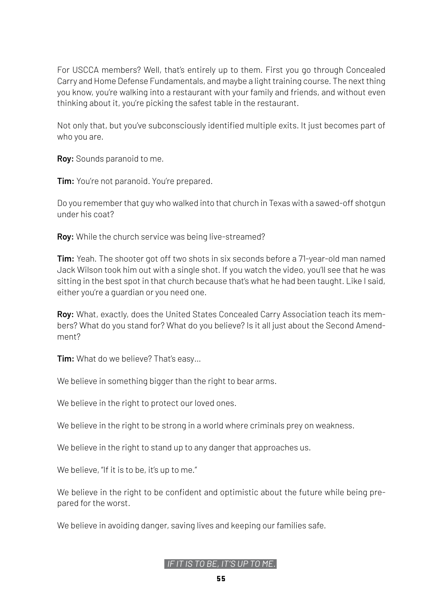For USCCA members? Well, that's entirely up to them. First you go through Concealed Carry and Home Defense Fundamentals, and maybe a light training course. The next thing you know, you're walking into a restaurant with your family and friends, and without even thinking about it, you're picking the safest table in the restaurant.

Not only that, but you've subconsciously identified multiple exits. It just becomes part of who you are.

**Roy:** Sounds paranoid to me.

**Tim:** You're not paranoid. You're prepared.

Do you remember that guy who walked into that church in Texas with a sawed-off shotgun under his coat?

**Roy:** While the church service was being live-streamed?

**Tim:** Yeah. The shooter got off two shots in six seconds before a 71-year-old man named Jack Wilson took him out with a single shot. If you watch the video, you'll see that he was sitting in the best spot in that church because that's what he had been taught. Like I said, either you're a guardian or you need one.

**Roy:** What, exactly, does the United States Concealed Carry Association teach its members? What do you stand for? What do you believe? Is it all just about the Second Amendment?

**Tim:** What do we believe? That's easy...

We believe in something bigger than the right to bear arms.

We believe in the right to protect our loved ones.

We believe in the right to be strong in a world where criminals prey on weakness.

We believe in the right to stand up to any danger that approaches us.

We believe, "If it is to be, it's up to me."

We believe in the right to be confident and optimistic about the future while being prepared for the worst.

We believe in avoiding danger, saving lives and keeping our families safe.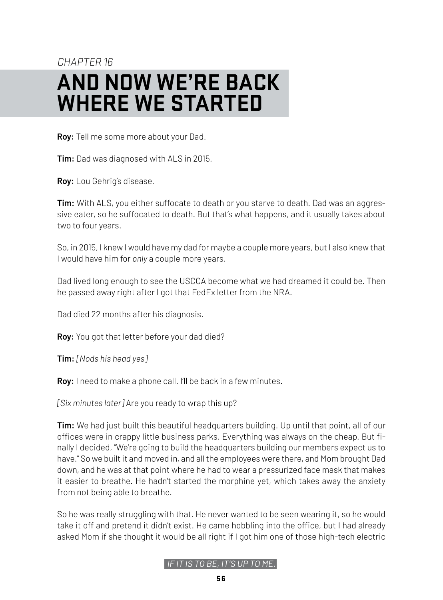### <span id="page-55-0"></span>CHAPTER 16 **AND NOW WE'RE BACK WHERE WE STARTED**

**Roy:** Tell me some more about your Dad.

**Tim:** Dad was diagnosed with ALS in 2015.

**Roy:** Lou Gehrig's disease.

**Tim:** With ALS, you either suffocate to death or you starve to death. Dad was an aggressive eater, so he suffocated to death. But that's what happens, and it usually takes about two to four years.

So, in 2015, I knew I would have my dad for maybe a couple more years, but I also knew that I would have him for *only* a couple more years.

Dad lived long enough to see the USCCA become what we had dreamed it could be. Then he passed away right after I got that FedEx letter from the NRA.

Dad died 22 months after his diagnosis.

**Roy:** You got that letter before your dad died?

**Tim:** *[Nods his head yes]*

**Roy:** I need to make a phone call. I'll be back in a few minutes.

*[Six minutes later]* Are you ready to wrap this up?

**Tim:** We had just built this beautiful headquarters building. Up until that point, all of our offices were in crappy little business parks. Everything was always on the cheap. But finally I decided, "We're going to build the headquarters building our members expect us to have." So we built it and moved in, and all the employees were there, and Mom brought Dad down, and he was at that point where he had to wear a pressurized face mask that makes it easier to breathe. He hadn't started the morphine yet, which takes away the anxiety from not being able to breathe.

So he was really struggling with that. He never wanted to be seen wearing it, so he would take it off and pretend it didn't exist. He came hobbling into the office, but I had already asked Mom if she thought it would be all right if I got him one of those high-tech electric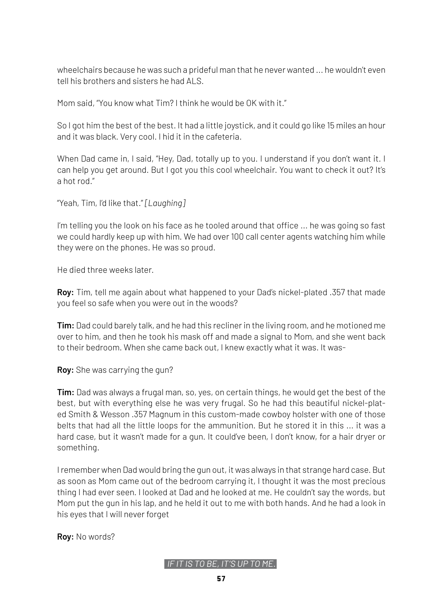wheelchairs because he was such a prideful man that he never wanted ... he wouldn't even tell his brothers and sisters he had ALS.

Mom said, "You know what Tim? I think he would be OK with it."

So I got him the best of the best. It had a little joystick, and it could go like 15 miles an hour and it was black. Very cool. I hid it in the cafeteria.

When Dad came in, I said, "Hey, Dad, totally up to you. I understand if you don't want it. I can help you get around. But I got you this cool wheelchair. You want to check it out? It's a hot rod."

"Yeah, Tim, I'd like that." *[Laughing]*

I'm telling you the look on his face as he tooled around that office ... he was going so fast we could hardly keep up with him. We had over 100 call center agents watching him while they were on the phones. He was so proud.

He died three weeks later.

**Roy:** Tim, tell me again about what happened to your Dad's nickel-plated .357 that made you feel so safe when you were out in the woods?

**Tim:** Dad could barely talk, and he had this recliner in the living room, and he motioned me over to him, and then he took his mask off and made a signal to Mom, and she went back to their bedroom. When she came back out, I knew exactly what it was. It was-

**Roy:** She was carrying the gun?

**Tim:** Dad was always a frugal man, so, yes, on certain things, he would get the best of the best, but with everything else he was very frugal. So he had this beautiful nickel-plated Smith & Wesson .357 Magnum in this custom-made cowboy holster with one of those belts that had all the little loops for the ammunition. But he stored it in this ... it was a hard case, but it wasn't made for a gun. It could've been, I don't know, for a hair dryer or something.

I remember when Dad would bring the gun out, it was always in that strange hard case. But as soon as Mom came out of the bedroom carrying it, I thought it was the most precious thing I had ever seen. I looked at Dad and he looked at me. He couldn't say the words, but Mom put the gun in his lap, and he held it out to me with both hands. And he had a look in his eyes that I will never forget

**Roy:** No words?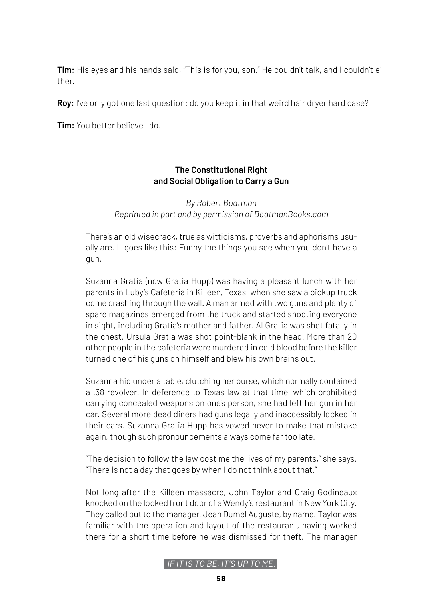**Tim:** His eyes and his hands said, "This is for you, son." He couldn't talk, and I couldn't either.

**Roy:** I've only got one last question: do you keep it in that weird hair dryer hard case?

**Tim:** You better believe I do.

#### **The Constitutional Right and Social Obligation to Carry a Gun**

*By Robert Boatman Reprinted in part and by permission of BoatmanBooks.com*

There's an old wisecrack, true as witticisms, proverbs and aphorisms usually are. It goes like this: Funny the things you see when you don't have a gun.

Suzanna Gratia (now Gratia Hupp) was having a pleasant lunch with her parents in Luby's Cafeteria in Killeen, Texas, when she saw a pickup truck come crashing through the wall. A man armed with two guns and plenty of spare magazines emerged from the truck and started shooting everyone in sight, including Gratia's mother and father. Al Gratia was shot fatally in the chest. Ursula Gratia was shot point-blank in the head. More than 20 other people in the cafeteria were murdered in cold blood before the killer turned one of his guns on himself and blew his own brains out.

Suzanna hid under a table, clutching her purse, which normally contained a .38 revolver. In deference to Texas law at that time, which prohibited carrying concealed weapons on one's person, she had left her gun in her car. Several more dead diners had guns legally and inaccessibly locked in their cars. Suzanna Gratia Hupp has vowed never to make that mistake again, though such pronouncements always come far too late.

"The decision to follow the law cost me the lives of my parents," she says. "There is not a day that goes by when I do not think about that."

Not long after the Killeen massacre, John Taylor and Craig Godineaux knocked on the locked front door of a Wendy's restaurant in New York City. They called out to the manager, Jean Dumel Auguste, by name. Taylor was familiar with the operation and layout of the restaurant, having worked there for a short time before he was dismissed for theft. The manager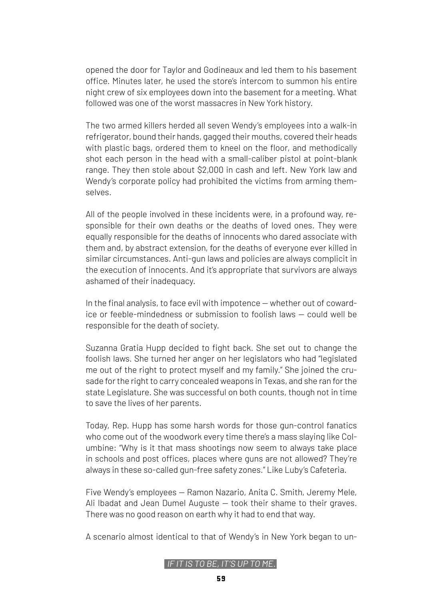opened the door for Taylor and Godineaux and led them to his basement office. Minutes later, he used the store's intercom to summon his entire night crew of six employees down into the basement for a meeting. What followed was one of the worst massacres in New York history.

The two armed killers herded all seven Wendy's employees into a walk-in refrigerator, bound their hands, gagged their mouths, covered their heads with plastic bags, ordered them to kneel on the floor, and methodically shot each person in the head with a small-caliber pistol at point-blank range. They then stole about \$2,000 in cash and left. New York law and Wendy's corporate policy had prohibited the victims from arming themselves.

All of the people involved in these incidents were, in a profound way, responsible for their own deaths or the deaths of loved ones. They were equally responsible for the deaths of innocents who dared associate with them and, by abstract extension, for the deaths of everyone ever killed in similar circumstances. Anti-gun laws and policies are always complicit in the execution of innocents. And it's appropriate that survivors are always ashamed of their inadequacy.

In the final analysis, to face evil with impotence — whether out of cowardice or feeble-mindedness or submission to foolish laws — could well be responsible for the death of society.

Suzanna Gratia Hupp decided to fight back. She set out to change the foolish laws. She turned her anger on her legislators who had "legislated me out of the right to protect myself and my family." She joined the crusade for the right to carry concealed weapons in Texas, and she ran for the state Legislature. She was successful on both counts, though not in time to save the lives of her parents.

Today, Rep. Hupp has some harsh words for those gun-control fanatics who come out of the woodwork every time there's a mass slaying like Columbine: "Why is it that mass shootings now seem to always take place in schools and post offices, places where guns are not allowed? They're always in these so-called gun-free safety zones." Like Luby's Cafeteria.

Five Wendy's employees — Ramon Nazario, Anita C. Smith, Jeremy Mele, Ali Ibadat and Jean Dumel Auguste — took their shame to their graves. There was no good reason on earth why it had to end that way.

A scenario almost identical to that of Wendy's in New York began to un-

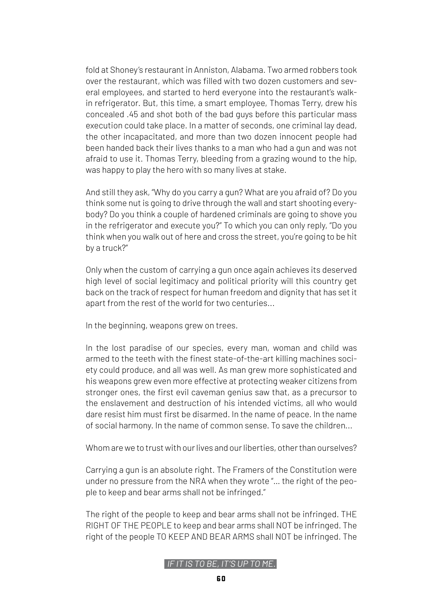fold at Shoney's restaurant in Anniston, Alabama. Two armed robbers took over the restaurant, which was filled with two dozen customers and several employees, and started to herd everyone into the restaurant's walkin refrigerator. But, this time, a smart employee, Thomas Terry, drew his concealed .45 and shot both of the bad guys before this particular mass execution could take place. In a matter of seconds, one criminal lay dead, the other incapacitated, and more than two dozen innocent people had been handed back their lives thanks to a man who had a gun and was not afraid to use it. Thomas Terry, bleeding from a grazing wound to the hip, was happy to play the hero with so many lives at stake.

And still they ask, "Why do you carry a gun? What are you afraid of? Do you think some nut is going to drive through the wall and start shooting everybody? Do you think a couple of hardened criminals are going to shove you in the refrigerator and execute you?" To which you can only reply, "Do you think when you walk out of here and cross the street, you're going to be hit by a truck?"

Only when the custom of carrying a gun once again achieves its deserved high level of social legitimacy and political priority will this country get back on the track of respect for human freedom and dignity that has set it apart from the rest of the world for two centuries...

In the beginning, weapons grew on trees.

In the lost paradise of our species, every man, woman and child was armed to the teeth with the finest state-of-the-art killing machines society could produce, and all was well. As man grew more sophisticated and his weapons grew even more effective at protecting weaker citizens from stronger ones, the first evil caveman genius saw that, as a precursor to the enslavement and destruction of his intended victims, all who would dare resist him must first be disarmed. In the name of peace. In the name of social harmony. In the name of common sense. To save the children...

Whom are we to trust with our lives and our liberties, other than ourselves?

Carrying a gun is an absolute right. The Framers of the Constitution were under no pressure from the NRA when they wrote "… the right of the people to keep and bear arms shall not be infringed."

The right of the people to keep and bear arms shall not be infringed. THE RIGHT OF THE PEOPLE to keep and bear arms shall NOT be infringed. The right of the people TO KEEP AND BEAR ARMS shall NOT be infringed. The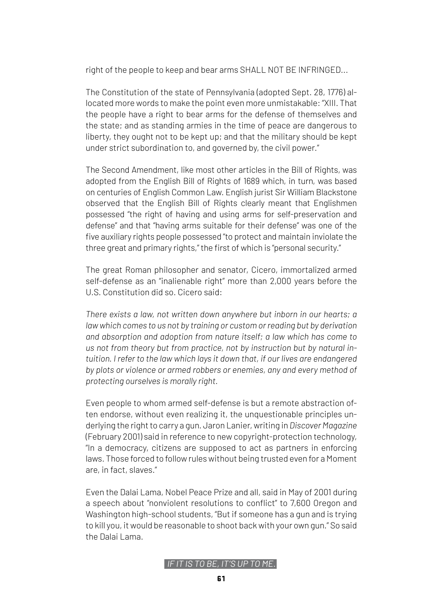right of the people to keep and bear arms SHALL NOT BE INFRINGED...

The Constitution of the state of Pennsylvania (adopted Sept. 28, 1776) allocated more words to make the point even more unmistakable: "XIII. That the people have a right to bear arms for the defense of themselves and the state; and as standing armies in the time of peace are dangerous to liberty, they ought not to be kept up; and that the military should be kept under strict subordination to, and governed by, the civil power."

The Second Amendment, like most other articles in the Bill of Rights, was adopted from the English Bill of Rights of 1689 which, in turn, was based on centuries of English Common Law. English jurist Sir William Blackstone observed that the English Bill of Rights clearly meant that Englishmen possessed "the right of having and using arms for self-preservation and defense" and that "having arms suitable for their defense" was one of the five auxiliary rights people possessed "to protect and maintain inviolate the three great and primary rights," the first of which is "personal security."

The great Roman philosopher and senator, Cicero, immortalized armed self-defense as an "inalienable right" more than 2,000 years before the U.S. Constitution did so. Cicero said:

*There exists a law, not written down anywhere but inborn in our hearts; a law which comes to us not by training or custom or reading but by derivation and absorption and adoption from nature itself; a law which has come to us not from theory but from practice, not by instruction but by natural intuition. I refer to the law which lays it down that, if our lives are endangered by plots or violence or armed robbers or enemies, any and every method of protecting ourselves is morally right.*

Even people to whom armed self-defense is but a remote abstraction often endorse, without even realizing it, the unquestionable principles underlying the right to carry a gun. Jaron Lanier, writing in *Discover Magazine* (February 2001) said in reference to new copyright-protection technology, "In a democracy, citizens are supposed to act as partners in enforcing laws. Those forced to follow rules without being trusted even for a Moment are, in fact, slaves."

Even the Dalai Lama, Nobel Peace Prize and all, said in May of 2001 during a speech about "nonviolent resolutions to conflict" to 7,600 Oregon and Washington high-school students, "But if someone has a gun and is trying to kill you, it would be reasonable to shoot back with your own gun." So said the Dalai Lama.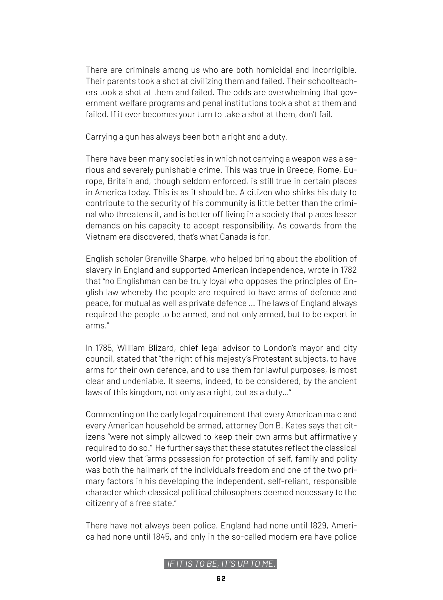There are criminals among us who are both homicidal and incorrigible. Their parents took a shot at civilizing them and failed. Their schoolteachers took a shot at them and failed. The odds are overwhelming that government welfare programs and penal institutions took a shot at them and failed. If it ever becomes your turn to take a shot at them, don't fail.

Carrying a gun has always been both a right and a duty.

There have been many societies in which not carrying a weapon was a serious and severely punishable crime. This was true in Greece, Rome, Europe, Britain and, though seldom enforced, is still true in certain places in America today. This is as it should be. A citizen who shirks his duty to contribute to the security of his community is little better than the criminal who threatens it, and is better off living in a society that places lesser demands on his capacity to accept responsibility. As cowards from the Vietnam era discovered, that's what Canada is for.

English scholar Granville Sharpe, who helped bring about the abolition of slavery in England and supported American independence, wrote in 1782 that "no Englishman can be truly loyal who opposes the principles of English law whereby the people are required to have arms of defence and peace, for mutual as well as private defence … The laws of England always required the people to be armed, and not only armed, but to be expert in arms."

In 1785, William Blizard, chief legal advisor to London's mayor and city council, stated that "the right of his majesty's Protestant subjects, to have arms for their own defence, and to use them for lawful purposes, is most clear and undeniable. It seems, indeed, to be considered, by the ancient laws of this kingdom, not only as a right, but as a duty…"

Commenting on the early legal requirement that every American male and every American household be armed, attorney Don B. Kates says that citizens "were not simply allowed to keep their own arms but affirmatively required to do so." He further says that these statutes reflect the classical world view that "arms possession for protection of self, family and polity was both the hallmark of the individual's freedom and one of the two primary factors in his developing the independent, self-reliant, responsible character which classical political philosophers deemed necessary to the citizenry of a free state."

There have not always been police. England had none until 1829, America had none until 1845, and only in the so-called modern era have police

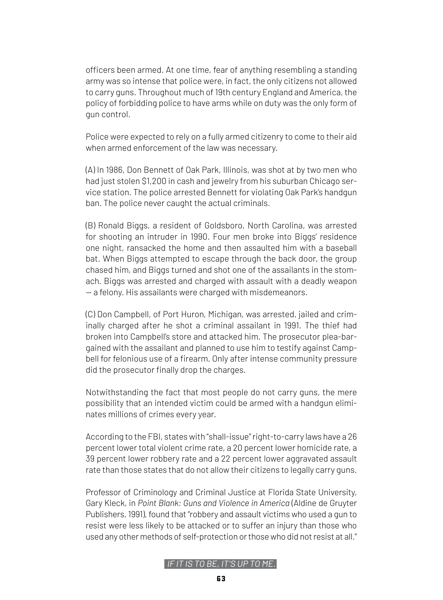officers been armed. At one time, fear of anything resembling a standing army was so intense that police were, in fact, the only citizens not allowed to carry guns. Throughout much of 19th century England and America, the policy of forbidding police to have arms while on duty was the only form of gun control.

Police were expected to rely on a fully armed citizenry to come to their aid when armed enforcement of the law was necessary.

(A) In 1986, Don Bennett of Oak Park, Illinois, was shot at by two men who had just stolen \$1,200 in cash and jewelry from his suburban Chicago service station. The police arrested Bennett for violating Oak Park's handgun ban. The police never caught the actual criminals.

(B) Ronald Biggs, a resident of Goldsboro, North Carolina, was arrested for shooting an intruder in 1990. Four men broke into Biggs' residence one night, ransacked the home and then assaulted him with a baseball bat. When Biggs attempted to escape through the back door, the group chased him, and Biggs turned and shot one of the assailants in the stomach. Biggs was arrested and charged with assault with a deadly weapon — a felony. His assailants were charged with misdemeanors.

(C) Don Campbell, of Port Huron, Michigan, was arrested, jailed and criminally charged after he shot a criminal assailant in 1991. The thief had broken into Campbell's store and attacked him. The prosecutor plea-bargained with the assailant and planned to use him to testify against Campbell for felonious use of a firearm. Only after intense community pressure did the prosecutor finally drop the charges.

Notwithstanding the fact that most people do not carry guns, the mere possibility that an intended victim could be armed with a handgun eliminates millions of crimes every year.

According to the FBI, states with "shall-issue" right-to-carry laws have a 26 percent lower total violent crime rate, a 20 percent lower homicide rate, a 39 percent lower robbery rate and a 22 percent lower aggravated assault rate than those states that do not allow their citizens to legally carry guns.

Professor of Criminology and Criminal Justice at Florida State University, Gary Kleck, in *Point Blank: Guns and Violence in America* (Aldine de Gruyter Publishers, 1991), found that "robbery and assault victims who used a gun to resist were less likely to be attacked or to suffer an injury than those who used any other methods of self-protection or those who did not resist at all."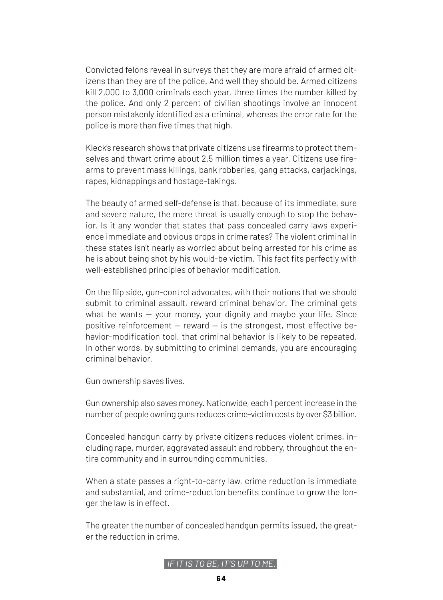Convicted felons reveal in surveys that they are more afraid of armed citizens than they are of the police. And well they should be. Armed citizens kill 2,000 to 3,000 criminals each year, three times the number killed by the police. And only 2 percent of civilian shootings involve an innocent person mistakenly identified as a criminal, whereas the error rate for the police is more than five times that high.

Kleck's research shows that private citizens use firearms to protect themselves and thwart crime about 2.5 million times a year. Citizens use firearms to prevent mass killings, bank robberies, gang attacks, carjackings, rapes, kidnappings and hostage-takings.

The beauty of armed self-defense is that, because of its immediate, sure and severe nature, the mere threat is usually enough to stop the behavior. Is it any wonder that states that pass concealed carry laws experience immediate and obvious drops in crime rates? The violent criminal in these states isn't nearly as worried about being arrested for his crime as he is about being shot by his would-be victim. This fact fits perfectly with well-established principles of behavior modification.

On the flip side, gun-control advocates, with their notions that we should submit to criminal assault, reward criminal behavior. The criminal gets what he wants — your money, your dignity and maybe your life. Since positive reinforcement  $-$  reward  $-$  is the strongest, most effective behavior-modification tool, that criminal behavior is likely to be repeated. In other words, by submitting to criminal demands, you are encouraging criminal behavior.

Gun ownership saves lives.

Gun ownership also saves money. Nationwide, each 1 percent increase in the number of people owning guns reduces crime-victim costs by over \$3 billion.

Concealed handgun carry by private citizens reduces violent crimes, including rape, murder, aggravated assault and robbery, throughout the entire community and in surrounding communities.

When a state passes a right-to-carry law, crime reduction is immediate and substantial, and crime-reduction benefits continue to grow the longer the law is in effect.

The greater the number of concealed handgun permits issued, the greater the reduction in crime.

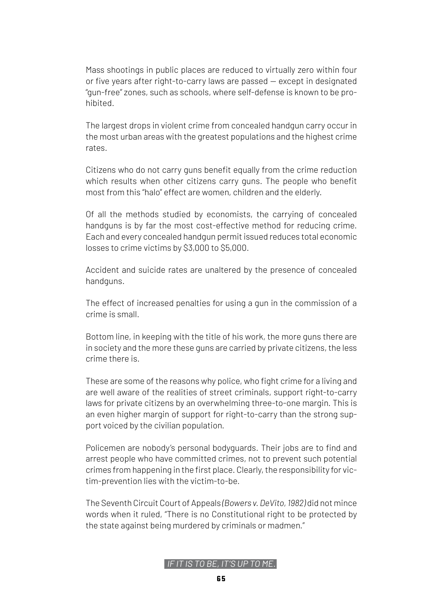Mass shootings in public places are reduced to virtually zero within four or five years after right-to-carry laws are passed — except in designated "gun-free" zones, such as schools, where self-defense is known to be prohibited.

The largest drops in violent crime from concealed handgun carry occur in the most urban areas with the greatest populations and the highest crime rates.

Citizens who do not carry guns benefit equally from the crime reduction which results when other citizens carry guns. The people who benefit most from this "halo" effect are women, children and the elderly.

Of all the methods studied by economists, the carrying of concealed handguns is by far the most cost-effective method for reducing crime. Each and every concealed handgun permit issued reduces total economic losses to crime victims by \$3,000 to \$5,000.

Accident and suicide rates are unaltered by the presence of concealed handguns.

The effect of increased penalties for using a gun in the commission of a crime is small.

Bottom line, in keeping with the title of his work, the more guns there are in society and the more these guns are carried by private citizens, the less crime there is.

These are some of the reasons why police, who fight crime for a living and are well aware of the realities of street criminals, support right-to-carry laws for private citizens by an overwhelming three-to-one margin. This is an even higher margin of support for right-to-carry than the strong support voiced by the civilian population.

Policemen are nobody's personal bodyguards. Their jobs are to find and arrest people who have committed crimes, not to prevent such potential crimes from happening in the first place. Clearly, the responsibility for victim-prevention lies with the victim-to-be.

The Seventh Circuit Court of Appeals *(Bowers v. DeVito, 1982)* did not mince words when it ruled, "There is no Constitutional right to be protected by the state against being murdered by criminals or madmen."

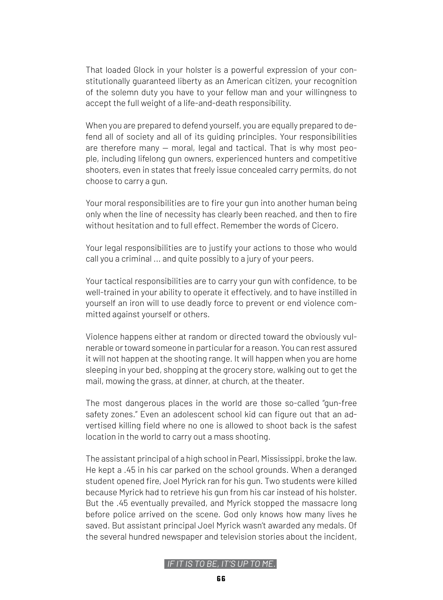That loaded Glock in your holster is a powerful expression of your constitutionally guaranteed liberty as an American citizen, your recognition of the solemn duty you have to your fellow man and your willingness to accept the full weight of a life-and-death responsibility.

When you are prepared to defend yourself, you are equally prepared to defend all of society and all of its guiding principles. Your responsibilities are therefore many — moral, legal and tactical. That is why most people, including lifelong gun owners, experienced hunters and competitive shooters, even in states that freely issue concealed carry permits, do not choose to carry a gun.

Your moral responsibilities are to fire your gun into another human being only when the line of necessity has clearly been reached, and then to fire without hesitation and to full effect. Remember the words of Cicero.

Your legal responsibilities are to justify your actions to those who would call you a criminal ... and quite possibly to a jury of your peers.

Your tactical responsibilities are to carry your gun with confidence, to be well-trained in your ability to operate it effectively, and to have instilled in yourself an iron will to use deadly force to prevent or end violence committed against yourself or others.

Violence happens either at random or directed toward the obviously vulnerable or toward someone in particular for a reason. You can rest assured it will not happen at the shooting range. It will happen when you are home sleeping in your bed, shopping at the grocery store, walking out to get the mail, mowing the grass, at dinner, at church, at the theater.

The most dangerous places in the world are those so-called "gun-free safety zones." Even an adolescent school kid can figure out that an advertised killing field where no one is allowed to shoot back is the safest location in the world to carry out a mass shooting.

The assistant principal of a high school in Pearl, Mississippi, broke the law. He kept a .45 in his car parked on the school grounds. When a deranged student opened fire, Joel Myrick ran for his gun. Two students were killed because Myrick had to retrieve his gun from his car instead of his holster. But the .45 eventually prevailed, and Myrick stopped the massacre long before police arrived on the scene. God only knows how many lives he saved. But assistant principal Joel Myrick wasn't awarded any medals. Of the several hundred newspaper and television stories about the incident,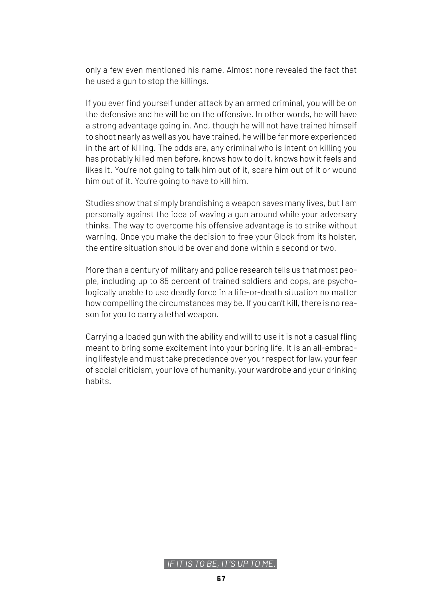only a few even mentioned his name. Almost none revealed the fact that he used a gun to stop the killings.

If you ever find yourself under attack by an armed criminal, you will be on the defensive and he will be on the offensive. In other words, he will have a strong advantage going in. And, though he will not have trained himself to shoot nearly as well as you have trained, he will be far more experienced in the art of killing. The odds are, any criminal who is intent on killing you has probably killed men before, knows how to do it, knows how it feels and likes it. You're not going to talk him out of it, scare him out of it or wound him out of it. You're going to have to kill him.

Studies show that simply brandishing a weapon saves many lives, but I am personally against the idea of waving a gun around while your adversary thinks. The way to overcome his offensive advantage is to strike without warning. Once you make the decision to free your Glock from its holster, the entire situation should be over and done within a second or two.

More than a century of military and police research tells us that most people, including up to 85 percent of trained soldiers and cops, are psychologically unable to use deadly force in a life-or-death situation no matter how compelling the circumstances may be. If you can't kill, there is no reason for you to carry a lethal weapon.

Carrying a loaded gun with the ability and will to use it is not a casual fling meant to bring some excitement into your boring life. It is an all-embracing lifestyle and must take precedence over your respect for law, your fear of social criticism, your love of humanity, your wardrobe and your drinking habits.